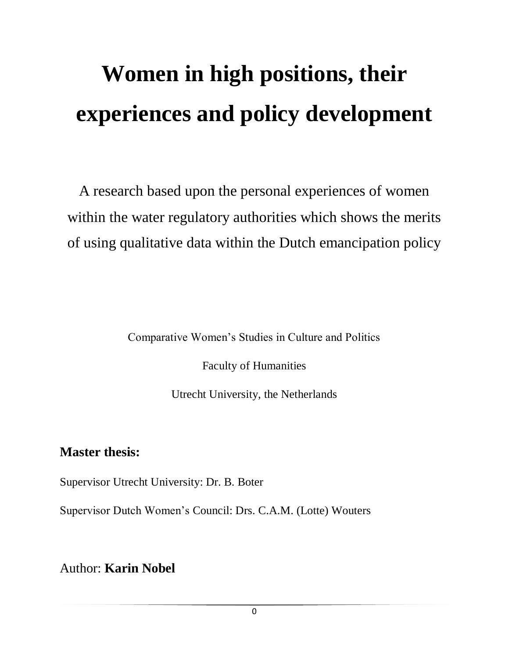# **Women in high positions, their experiences and policy development**

A research based upon the personal experiences of women within the water regulatory authorities which shows the merits of using qualitative data within the Dutch emancipation policy

Comparative Women"s Studies in Culture and Politics

Faculty of Humanities

Utrecht University, the Netherlands

# **Master thesis:**

Supervisor Utrecht University: Dr. B. Boter

Supervisor Dutch Women"s Council: Drs. C.A.M. (Lotte) Wouters

Author: **Karin Nobel**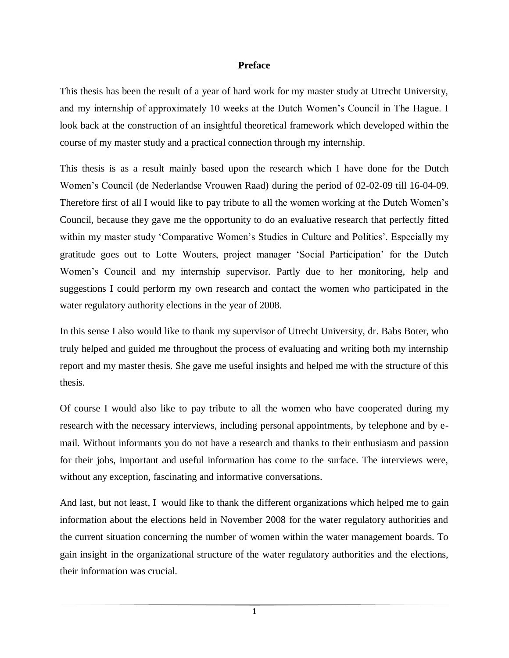#### **Preface**

This thesis has been the result of a year of hard work for my master study at Utrecht University, and my internship of approximately 10 weeks at the Dutch Women"s Council in The Hague. I look back at the construction of an insightful theoretical framework which developed within the course of my master study and a practical connection through my internship.

This thesis is as a result mainly based upon the research which I have done for the Dutch Women"s Council (de Nederlandse Vrouwen Raad) during the period of 02-02-09 till 16-04-09. Therefore first of all I would like to pay tribute to all the women working at the Dutch Women"s Council, because they gave me the opportunity to do an evaluative research that perfectly fitted within my master study 'Comparative Women's Studies in Culture and Politics'. Especially my gratitude goes out to Lotte Wouters, project manager "Social Participation" for the Dutch Women"s Council and my internship supervisor. Partly due to her monitoring, help and suggestions I could perform my own research and contact the women who participated in the water regulatory authority elections in the year of 2008.

In this sense I also would like to thank my supervisor of Utrecht University, dr. Babs Boter, who truly helped and guided me throughout the process of evaluating and writing both my internship report and my master thesis. She gave me useful insights and helped me with the structure of this thesis.

Of course I would also like to pay tribute to all the women who have cooperated during my research with the necessary interviews, including personal appointments, by telephone and by email. Without informants you do not have a research and thanks to their enthusiasm and passion for their jobs, important and useful information has come to the surface. The interviews were, without any exception, fascinating and informative conversations.

And last, but not least, I would like to thank the different organizations which helped me to gain information about the elections held in November 2008 for the water regulatory authorities and the current situation concerning the number of women within the water management boards. To gain insight in the organizational structure of the water regulatory authorities and the elections, their information was crucial.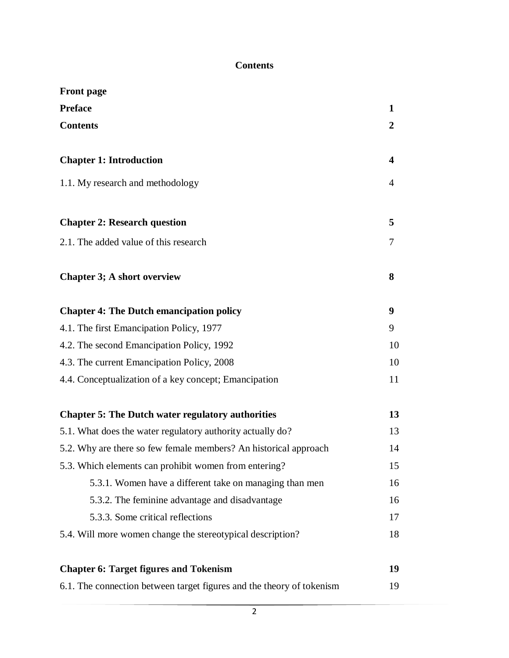# **Contents**

| <b>Front</b> page                                                     |              |
|-----------------------------------------------------------------------|--------------|
| <b>Preface</b>                                                        | 1            |
| <b>Contents</b>                                                       | $\mathbf{2}$ |
| <b>Chapter 1: Introduction</b>                                        | 4            |
| 1.1. My research and methodology                                      | 4            |
| <b>Chapter 2: Research question</b>                                   | 5            |
| 2.1. The added value of this research                                 | 7            |
| <b>Chapter 3; A short overview</b>                                    | 8            |
| <b>Chapter 4: The Dutch emancipation policy</b>                       | 9            |
| 4.1. The first Emancipation Policy, 1977                              | 9            |
| 4.2. The second Emancipation Policy, 1992                             | 10           |
| 4.3. The current Emancipation Policy, 2008                            | 10           |
| 4.4. Conceptualization of a key concept; Emancipation                 | 11           |
| <b>Chapter 5: The Dutch water regulatory authorities</b>              | 13           |
| 5.1. What does the water regulatory authority actually do?            | 13           |
| 5.2. Why are there so few female members? An historical approach      | 14           |
| 5.3. Which elements can prohibit women from entering?                 | 15           |
| 5.3.1. Women have a different take on managing than men               | 16           |
| 5.3.2. The feminine advantage and disadvantage                        | 16           |
| 5.3.3. Some critical reflections                                      | 17           |
| 5.4. Will more women change the stereotypical description?            | 18           |
| <b>Chapter 6: Target figures and Tokenism</b>                         | 19           |
| 6.1. The connection between target figures and the theory of tokenism | 19           |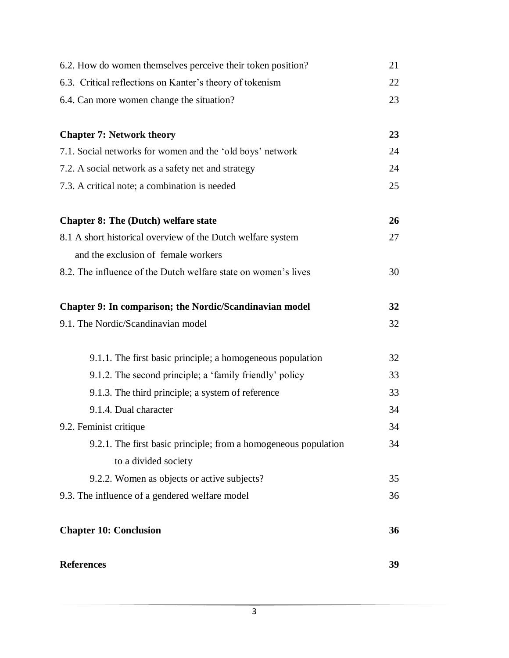| <b>References</b>                                                                                  | 39 |
|----------------------------------------------------------------------------------------------------|----|
| <b>Chapter 10: Conclusion</b>                                                                      | 36 |
| 9.3. The influence of a gendered welfare model                                                     | 36 |
| 9.2.2. Women as objects or active subjects?                                                        | 35 |
| to a divided society                                                                               |    |
| 9.2.1. The first basic principle; from a homogeneous population                                    | 34 |
| 9.2. Feminist critique                                                                             | 34 |
| 9.1.4. Dual character                                                                              | 34 |
| 9.1.3. The third principle; a system of reference                                                  | 33 |
| 9.1.2. The second principle; a 'family friendly' policy                                            | 33 |
| 9.1.1. The first basic principle; a homogeneous population                                         | 32 |
| 9.1. The Nordic/Scandinavian model                                                                 | 32 |
| Chapter 9: In comparison; the Nordic/Scandinavian model                                            | 32 |
| 8.2. The influence of the Dutch welfare state on women's lives                                     | 30 |
|                                                                                                    |    |
| 8.1 A short historical overview of the Dutch welfare system<br>and the exclusion of female workers | 27 |
| <b>Chapter 8: The (Dutch) welfare state</b>                                                        | 26 |
|                                                                                                    |    |
| 7.3. A critical note; a combination is needed                                                      | 25 |
| 7.2. A social network as a safety net and strategy                                                 | 24 |
| 7.1. Social networks for women and the 'old boys' network                                          | 24 |
| <b>Chapter 7: Network theory</b>                                                                   | 23 |
| 6.4. Can more women change the situation?                                                          | 23 |
| 6.3. Critical reflections on Kanter's theory of tokenism                                           | 22 |
| 6.2. How do women themselves perceive their token position?                                        | 21 |
|                                                                                                    |    |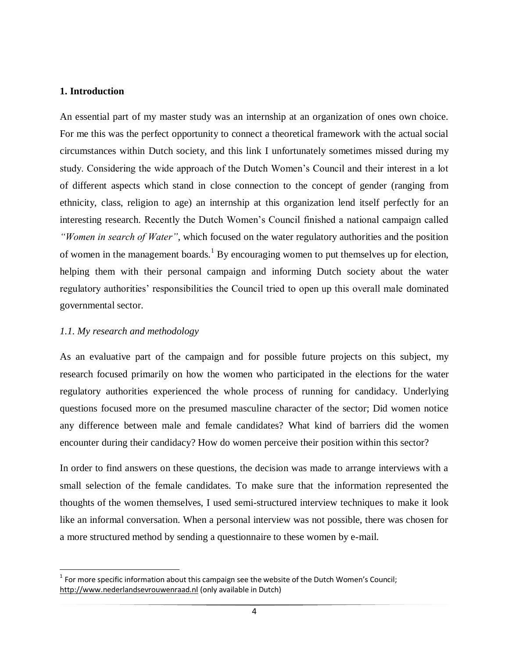#### **1. Introduction**

An essential part of my master study was an internship at an organization of ones own choice. For me this was the perfect opportunity to connect a theoretical framework with the actual social circumstances within Dutch society, and this link I unfortunately sometimes missed during my study. Considering the wide approach of the Dutch Women"s Council and their interest in a lot of different aspects which stand in close connection to the concept of gender (ranging from ethnicity, class, religion to age) an internship at this organization lend itself perfectly for an interesting research. Recently the Dutch Women"s Council finished a national campaign called *"Women in search of Water"*, which focused on the water regulatory authorities and the position of women in the management boards.<sup>1</sup> By encouraging women to put themselves up for election, helping them with their personal campaign and informing Dutch society about the water regulatory authorities' responsibilities the Council tried to open up this overall male dominated governmental sector.

# *1.1. My research and methodology*

 $\overline{\phantom{a}}$ 

As an evaluative part of the campaign and for possible future projects on this subject, my research focused primarily on how the women who participated in the elections for the water regulatory authorities experienced the whole process of running for candidacy. Underlying questions focused more on the presumed masculine character of the sector; Did women notice any difference between male and female candidates? What kind of barriers did the women encounter during their candidacy? How do women perceive their position within this sector?

In order to find answers on these questions, the decision was made to arrange interviews with a small selection of the female candidates. To make sure that the information represented the thoughts of the women themselves, I used semi-structured interview techniques to make it look like an informal conversation. When a personal interview was not possible, there was chosen for a more structured method by sending a questionnaire to these women by e-mail.

 $1$  For more specific information about this campaign see the website of the Dutch Women's Council; [http://www.nederlandsevrouwenraad.nl](http://www.nederlandsevrouwenraad.nl/) (only available in Dutch)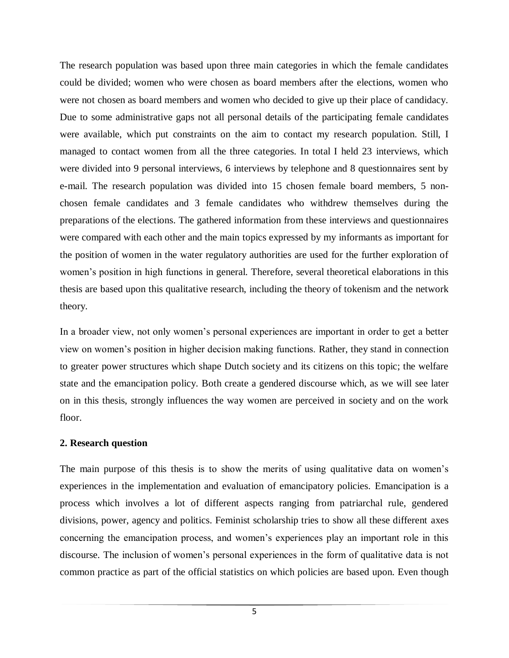The research population was based upon three main categories in which the female candidates could be divided; women who were chosen as board members after the elections, women who were not chosen as board members and women who decided to give up their place of candidacy. Due to some administrative gaps not all personal details of the participating female candidates were available, which put constraints on the aim to contact my research population. Still, I managed to contact women from all the three categories. In total I held 23 interviews, which were divided into 9 personal interviews, 6 interviews by telephone and 8 questionnaires sent by e-mail. The research population was divided into 15 chosen female board members, 5 nonchosen female candidates and 3 female candidates who withdrew themselves during the preparations of the elections. The gathered information from these interviews and questionnaires were compared with each other and the main topics expressed by my informants as important for the position of women in the water regulatory authorities are used for the further exploration of women"s position in high functions in general. Therefore, several theoretical elaborations in this thesis are based upon this qualitative research, including the theory of tokenism and the network theory.

In a broader view, not only women"s personal experiences are important in order to get a better view on women"s position in higher decision making functions. Rather, they stand in connection to greater power structures which shape Dutch society and its citizens on this topic; the welfare state and the emancipation policy. Both create a gendered discourse which, as we will see later on in this thesis, strongly influences the way women are perceived in society and on the work floor.

# **2. Research question**

The main purpose of this thesis is to show the merits of using qualitative data on women"s experiences in the implementation and evaluation of emancipatory policies. Emancipation is a process which involves a lot of different aspects ranging from patriarchal rule, gendered divisions, power, agency and politics. Feminist scholarship tries to show all these different axes concerning the emancipation process, and women"s experiences play an important role in this discourse. The inclusion of women"s personal experiences in the form of qualitative data is not common practice as part of the official statistics on which policies are based upon. Even though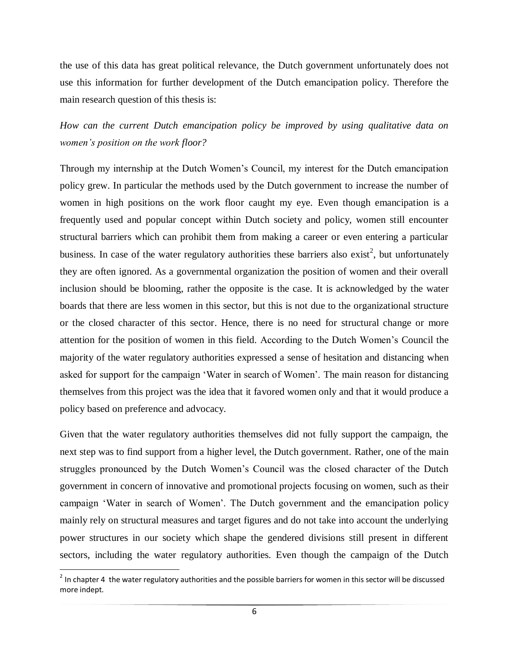the use of this data has great political relevance, the Dutch government unfortunately does not use this information for further development of the Dutch emancipation policy. Therefore the main research question of this thesis is:

*How can the current Dutch emancipation policy be improved by using qualitative data on women"s position on the work floor?*

Through my internship at the Dutch Women"s Council, my interest for the Dutch emancipation policy grew. In particular the methods used by the Dutch government to increase the number of women in high positions on the work floor caught my eye. Even though emancipation is a frequently used and popular concept within Dutch society and policy, women still encounter structural barriers which can prohibit them from making a career or even entering a particular business. In case of the water regulatory authorities these barriers also exist<sup>2</sup>, but unfortunately they are often ignored. As a governmental organization the position of women and their overall inclusion should be blooming, rather the opposite is the case. It is acknowledged by the water boards that there are less women in this sector, but this is not due to the organizational structure or the closed character of this sector. Hence, there is no need for structural change or more attention for the position of women in this field. According to the Dutch Women"s Council the majority of the water regulatory authorities expressed a sense of hesitation and distancing when asked for support for the campaign "Water in search of Women". The main reason for distancing themselves from this project was the idea that it favored women only and that it would produce a policy based on preference and advocacy.

Given that the water regulatory authorities themselves did not fully support the campaign, the next step was to find support from a higher level, the Dutch government. Rather, one of the main struggles pronounced by the Dutch Women"s Council was the closed character of the Dutch government in concern of innovative and promotional projects focusing on women, such as their campaign "Water in search of Women". The Dutch government and the emancipation policy mainly rely on structural measures and target figures and do not take into account the underlying power structures in our society which shape the gendered divisions still present in different sectors, including the water regulatory authorities. Even though the campaign of the Dutch

 $\overline{\phantom{a}}$ 

 $2$  In chapter 4 the water regulatory authorities and the possible barriers for women in this sector will be discussed more indept.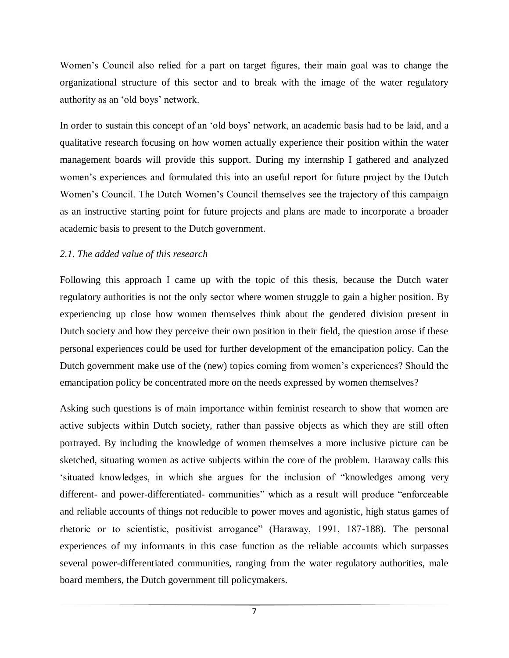Women"s Council also relied for a part on target figures, their main goal was to change the organizational structure of this sector and to break with the image of the water regulatory authority as an 'old boys' network.

In order to sustain this concept of an "old boys" network, an academic basis had to be laid, and a qualitative research focusing on how women actually experience their position within the water management boards will provide this support. During my internship I gathered and analyzed women's experiences and formulated this into an useful report for future project by the Dutch Women"s Council. The Dutch Women"s Council themselves see the trajectory of this campaign as an instructive starting point for future projects and plans are made to incorporate a broader academic basis to present to the Dutch government.

# *2.1. The added value of this research*

Following this approach I came up with the topic of this thesis, because the Dutch water regulatory authorities is not the only sector where women struggle to gain a higher position. By experiencing up close how women themselves think about the gendered division present in Dutch society and how they perceive their own position in their field, the question arose if these personal experiences could be used for further development of the emancipation policy. Can the Dutch government make use of the (new) topics coming from women"s experiences? Should the emancipation policy be concentrated more on the needs expressed by women themselves?

Asking such questions is of main importance within feminist research to show that women are active subjects within Dutch society, rather than passive objects as which they are still often portrayed. By including the knowledge of women themselves a more inclusive picture can be sketched, situating women as active subjects within the core of the problem. Haraway calls this "situated knowledges, in which she argues for the inclusion of "knowledges among very different- and power-differentiated- communities" which as a result will produce "enforceable and reliable accounts of things not reducible to power moves and agonistic, high status games of rhetoric or to scientistic, positivist arrogance" (Haraway, 1991, 187-188). The personal experiences of my informants in this case function as the reliable accounts which surpasses several power-differentiated communities, ranging from the water regulatory authorities, male board members, the Dutch government till policymakers.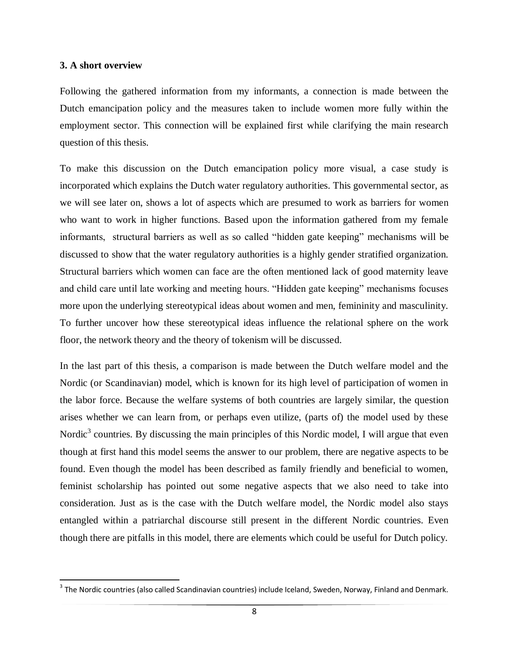#### **3. A short overview**

 $\overline{a}$ 

Following the gathered information from my informants, a connection is made between the Dutch emancipation policy and the measures taken to include women more fully within the employment sector. This connection will be explained first while clarifying the main research question of this thesis.

To make this discussion on the Dutch emancipation policy more visual, a case study is incorporated which explains the Dutch water regulatory authorities. This governmental sector, as we will see later on, shows a lot of aspects which are presumed to work as barriers for women who want to work in higher functions. Based upon the information gathered from my female informants, structural barriers as well as so called "hidden gate keeping" mechanisms will be discussed to show that the water regulatory authorities is a highly gender stratified organization. Structural barriers which women can face are the often mentioned lack of good maternity leave and child care until late working and meeting hours. "Hidden gate keeping" mechanisms focuses more upon the underlying stereotypical ideas about women and men, femininity and masculinity. To further uncover how these stereotypical ideas influence the relational sphere on the work floor, the network theory and the theory of tokenism will be discussed.

In the last part of this thesis, a comparison is made between the Dutch welfare model and the Nordic (or Scandinavian) model, which is known for its high level of participation of women in the labor force. Because the welfare systems of both countries are largely similar, the question arises whether we can learn from, or perhaps even utilize, (parts of) the model used by these Nordic<sup>3</sup> countries. By discussing the main principles of this Nordic model, I will argue that even though at first hand this model seems the answer to our problem, there are negative aspects to be found. Even though the model has been described as family friendly and beneficial to women, feminist scholarship has pointed out some negative aspects that we also need to take into consideration. Just as is the case with the Dutch welfare model, the Nordic model also stays entangled within a patriarchal discourse still present in the different Nordic countries. Even though there are pitfalls in this model, there are elements which could be useful for Dutch policy.

 $^3$  The Nordic countries (also called Scandinavian countries) include Iceland, Sweden, Norway, Finland and Denmark.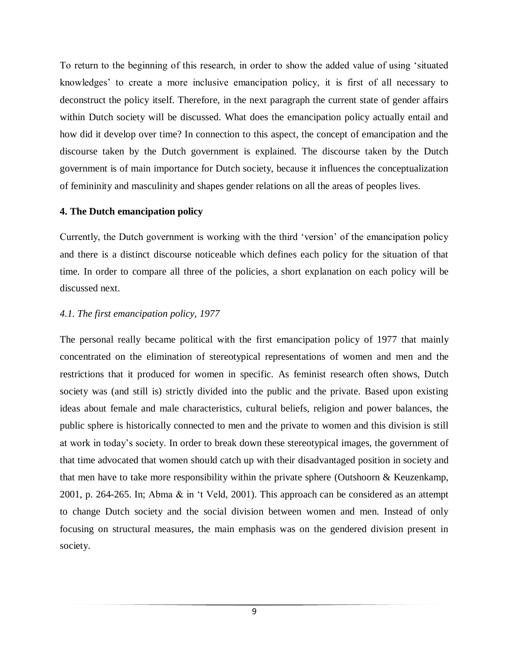To return to the beginning of this research, in order to show the added value of using "situated knowledges" to create a more inclusive emancipation policy, it is first of all necessary to deconstruct the policy itself. Therefore, in the next paragraph the current state of gender affairs within Dutch society will be discussed. What does the emancipation policy actually entail and how did it develop over time? In connection to this aspect, the concept of emancipation and the discourse taken by the Dutch government is explained. The discourse taken by the Dutch government is of main importance for Dutch society, because it influences the conceptualization of femininity and masculinity and shapes gender relations on all the areas of peoples lives.

#### **4. The Dutch emancipation policy**

Currently, the Dutch government is working with the third "version" of the emancipation policy and there is a distinct discourse noticeable which defines each policy for the situation of that time. In order to compare all three of the policies, a short explanation on each policy will be discussed next.

# *4.1. The first emancipation policy, 1977*

The personal really became political with the first emancipation policy of 1977 that mainly concentrated on the elimination of stereotypical representations of women and men and the restrictions that it produced for women in specific. As feminist research often shows, Dutch society was (and still is) strictly divided into the public and the private. Based upon existing ideas about female and male characteristics, cultural beliefs, religion and power balances, the public sphere is historically connected to men and the private to women and this division is still at work in today"s society. In order to break down these stereotypical images, the government of that time advocated that women should catch up with their disadvantaged position in society and that men have to take more responsibility within the private sphere (Outshoorn & Keuzenkamp, 2001, p. 264-265. In; Abma & in "t Veld, 2001). This approach can be considered as an attempt to change Dutch society and the social division between women and men. Instead of only focusing on structural measures, the main emphasis was on the gendered division present in society.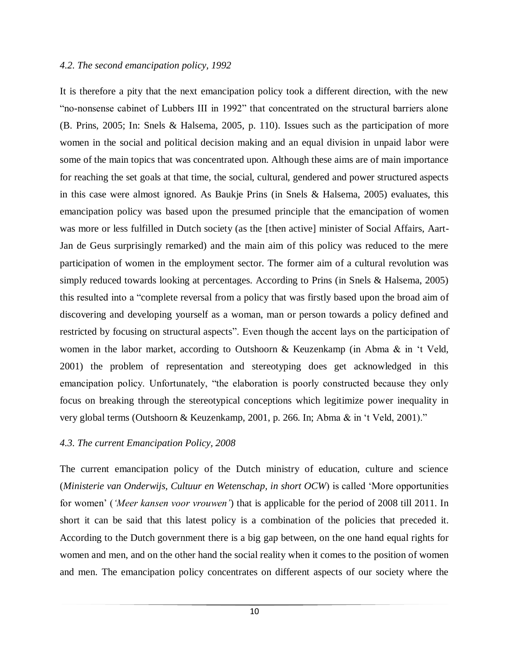#### *4.2. The second emancipation policy, 1992*

It is therefore a pity that the next emancipation policy took a different direction, with the new "no-nonsense cabinet of Lubbers III in 1992" that concentrated on the structural barriers alone (B. Prins, 2005; In: Snels & Halsema, 2005, p. 110). Issues such as the participation of more women in the social and political decision making and an equal division in unpaid labor were some of the main topics that was concentrated upon. Although these aims are of main importance for reaching the set goals at that time, the social, cultural, gendered and power structured aspects in this case were almost ignored. As Baukje Prins (in Snels & Halsema, 2005) evaluates, this emancipation policy was based upon the presumed principle that the emancipation of women was more or less fulfilled in Dutch society (as the [then active] minister of Social Affairs, Aart-Jan de Geus surprisingly remarked) and the main aim of this policy was reduced to the mere participation of women in the employment sector. The former aim of a cultural revolution was simply reduced towards looking at percentages. According to Prins (in Snels & Halsema, 2005) this resulted into a "complete reversal from a policy that was firstly based upon the broad aim of discovering and developing yourself as a woman, man or person towards a policy defined and restricted by focusing on structural aspects". Even though the accent lays on the participation of women in the labor market, according to Outshoorn & Keuzenkamp (in Abma & in "t Veld, 2001) the problem of representation and stereotyping does get acknowledged in this emancipation policy. Unfortunately, "the elaboration is poorly constructed because they only focus on breaking through the stereotypical conceptions which legitimize power inequality in very global terms (Outshoorn & Keuzenkamp, 2001, p. 266. In; Abma & in "t Veld, 2001)."

# *4.3. The current Emancipation Policy, 2008*

The current emancipation policy of the Dutch ministry of education, culture and science (*Ministerie van Onderwijs, Cultuur en Wetenschap, in short OCW*) is called "More opportunities for women" (*"Meer kansen voor vrouwen"*) that is applicable for the period of 2008 till 2011. In short it can be said that this latest policy is a combination of the policies that preceded it. According to the Dutch government there is a big gap between, on the one hand equal rights for women and men, and on the other hand the social reality when it comes to the position of women and men. The emancipation policy concentrates on different aspects of our society where the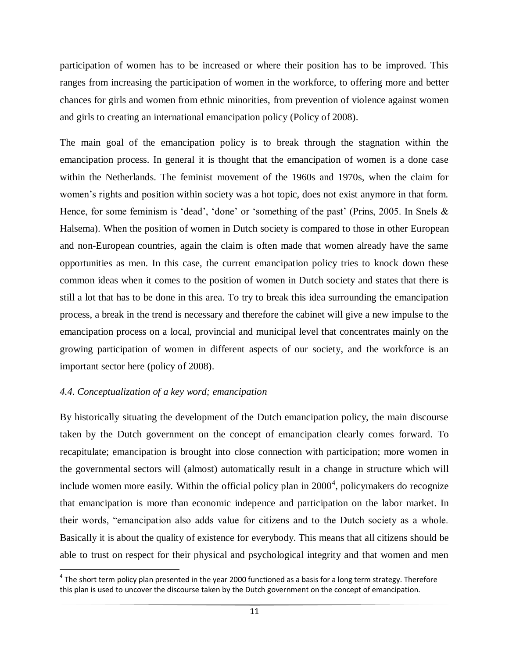participation of women has to be increased or where their position has to be improved. This ranges from increasing the participation of women in the workforce, to offering more and better chances for girls and women from ethnic minorities, from prevention of violence against women and girls to creating an international emancipation policy (Policy of 2008).

The main goal of the emancipation policy is to break through the stagnation within the emancipation process. In general it is thought that the emancipation of women is a done case within the Netherlands. The feminist movement of the 1960s and 1970s, when the claim for women's rights and position within society was a hot topic, does not exist anymore in that form. Hence, for some feminism is 'dead', 'done' or 'something of the past' (Prins, 2005. In Snels  $\&$ Halsema). When the position of women in Dutch society is compared to those in other European and non-European countries, again the claim is often made that women already have the same opportunities as men. In this case, the current emancipation policy tries to knock down these common ideas when it comes to the position of women in Dutch society and states that there is still a lot that has to be done in this area. To try to break this idea surrounding the emancipation process, a break in the trend is necessary and therefore the cabinet will give a new impulse to the emancipation process on a local, provincial and municipal level that concentrates mainly on the growing participation of women in different aspects of our society, and the workforce is an important sector here (policy of 2008).

# *4.4. Conceptualization of a key word; emancipation*

 $\overline{\phantom{a}}$ 

By historically situating the development of the Dutch emancipation policy, the main discourse taken by the Dutch government on the concept of emancipation clearly comes forward. To recapitulate; emancipation is brought into close connection with participation; more women in the governmental sectors will (almost) automatically result in a change in structure which will include women more easily. Within the official policy plan in  $2000<sup>4</sup>$ , policymakers do recognize that emancipation is more than economic indepence and participation on the labor market. In their words, "emancipation also adds value for citizens and to the Dutch society as a whole. Basically it is about the quality of existence for everybody. This means that all citizens should be able to trust on respect for their physical and psychological integrity and that women and men

 $^4$  The short term policy plan presented in the year 2000 functioned as a basis for a long term strategy. Therefore this plan is used to uncover the discourse taken by the Dutch government on the concept of emancipation.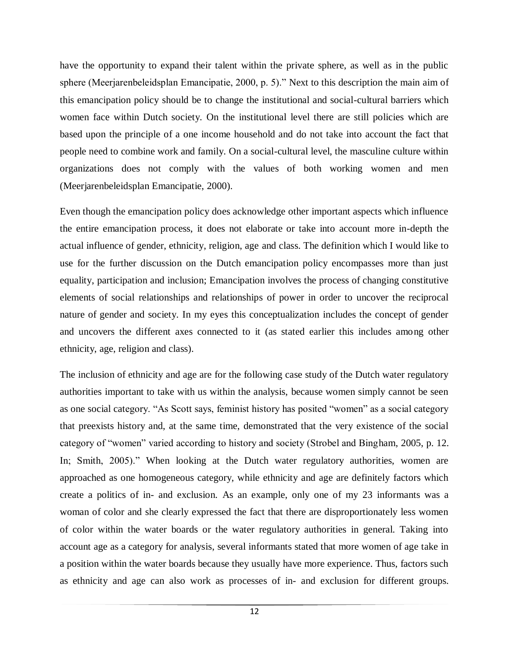have the opportunity to expand their talent within the private sphere, as well as in the public sphere (Meerjarenbeleidsplan Emancipatie, 2000, p. 5)." Next to this description the main aim of this emancipation policy should be to change the institutional and social-cultural barriers which women face within Dutch society. On the institutional level there are still policies which are based upon the principle of a one income household and do not take into account the fact that people need to combine work and family. On a social-cultural level, the masculine culture within organizations does not comply with the values of both working women and men (Meerjarenbeleidsplan Emancipatie, 2000).

Even though the emancipation policy does acknowledge other important aspects which influence the entire emancipation process, it does not elaborate or take into account more in-depth the actual influence of gender, ethnicity, religion, age and class. The definition which I would like to use for the further discussion on the Dutch emancipation policy encompasses more than just equality, participation and inclusion; Emancipation involves the process of changing constitutive elements of social relationships and relationships of power in order to uncover the reciprocal nature of gender and society. In my eyes this conceptualization includes the concept of gender and uncovers the different axes connected to it (as stated earlier this includes among other ethnicity, age, religion and class).

The inclusion of ethnicity and age are for the following case study of the Dutch water regulatory authorities important to take with us within the analysis, because women simply cannot be seen as one social category. "As Scott says, feminist history has posited "women" as a social category that preexists history and, at the same time, demonstrated that the very existence of the social category of "women" varied according to history and society (Strobel and Bingham, 2005, p. 12. In; Smith, 2005)." When looking at the Dutch water regulatory authorities, women are approached as one homogeneous category, while ethnicity and age are definitely factors which create a politics of in- and exclusion. As an example, only one of my 23 informants was a woman of color and she clearly expressed the fact that there are disproportionately less women of color within the water boards or the water regulatory authorities in general. Taking into account age as a category for analysis, several informants stated that more women of age take in a position within the water boards because they usually have more experience. Thus, factors such as ethnicity and age can also work as processes of in- and exclusion for different groups.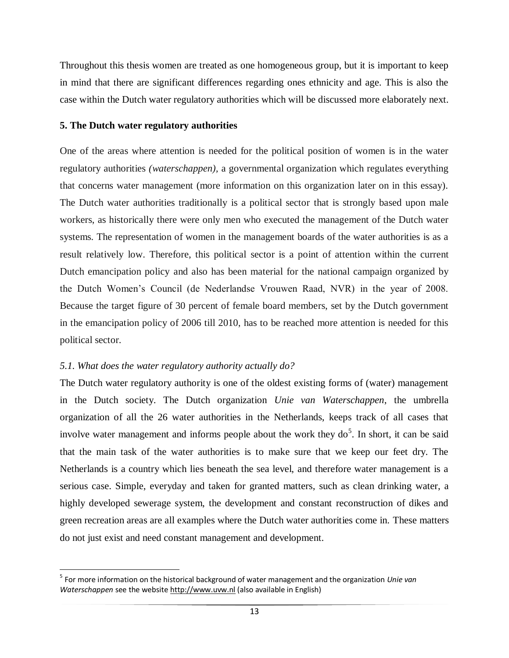Throughout this thesis women are treated as one homogeneous group, but it is important to keep in mind that there are significant differences regarding ones ethnicity and age. This is also the case within the Dutch water regulatory authorities which will be discussed more elaborately next.

# **5. The Dutch water regulatory authorities**

One of the areas where attention is needed for the political position of women is in the water regulatory authorities *(waterschappen),* a governmental organization which regulates everything that concerns water management (more information on this organization later on in this essay). The Dutch water authorities traditionally is a political sector that is strongly based upon male workers, as historically there were only men who executed the management of the Dutch water systems. The representation of women in the management boards of the water authorities is as a result relatively low. Therefore, this political sector is a point of attention within the current Dutch emancipation policy and also has been material for the national campaign organized by the Dutch Women"s Council (de Nederlandse Vrouwen Raad, NVR) in the year of 2008. Because the target figure of 30 percent of female board members, set by the Dutch government in the emancipation policy of 2006 till 2010, has to be reached more attention is needed for this political sector.

# *5.1. What does the water regulatory authority actually do?*

 $\overline{\phantom{a}}$ 

The Dutch water regulatory authority is one of the oldest existing forms of (water) management in the Dutch society. The Dutch organization *Unie van Waterschappen*, the umbrella organization of all the 26 water authorities in the Netherlands, keeps track of all cases that involve water management and informs people about the work they  $do<sup>5</sup>$ . In short, it can be said that the main task of the water authorities is to make sure that we keep our feet dry. The Netherlands is a country which lies beneath the sea level, and therefore water management is a serious case. Simple, everyday and taken for granted matters, such as clean drinking water, a highly developed sewerage system, the development and constant reconstruction of dikes and green recreation areas are all examples where the Dutch water authorities come in. These matters do not just exist and need constant management and development.

<sup>5</sup> For more information on the historical background of water management and the organization *Unie van Waterschappen* see the websit[e http://www.uvw.nl](http://www.uvw.nl/) (also available in English)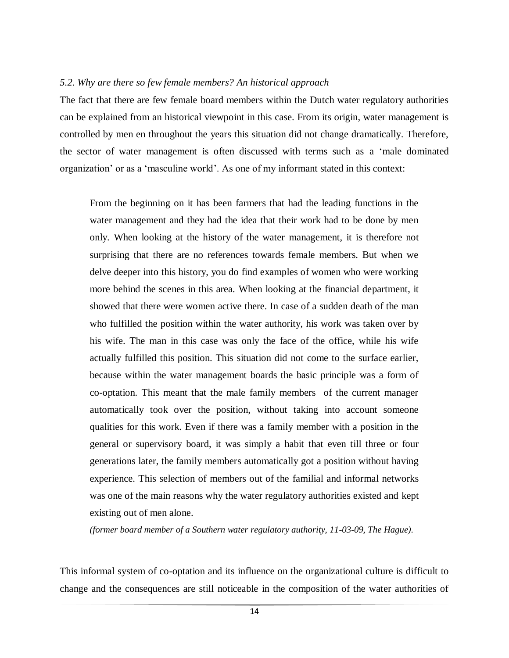#### *5.2. Why are there so few female members? An historical approach*

The fact that there are few female board members within the Dutch water regulatory authorities can be explained from an historical viewpoint in this case. From its origin, water management is controlled by men en throughout the years this situation did not change dramatically. Therefore, the sector of water management is often discussed with terms such as a "male dominated organization" or as a "masculine world". As one of my informant stated in this context:

From the beginning on it has been farmers that had the leading functions in the water management and they had the idea that their work had to be done by men only. When looking at the history of the water management, it is therefore not surprising that there are no references towards female members. But when we delve deeper into this history, you do find examples of women who were working more behind the scenes in this area. When looking at the financial department, it showed that there were women active there. In case of a sudden death of the man who fulfilled the position within the water authority, his work was taken over by his wife. The man in this case was only the face of the office, while his wife actually fulfilled this position. This situation did not come to the surface earlier, because within the water management boards the basic principle was a form of co-optation. This meant that the male family members of the current manager automatically took over the position, without taking into account someone qualities for this work. Even if there was a family member with a position in the general or supervisory board, it was simply a habit that even till three or four generations later, the family members automatically got a position without having experience. This selection of members out of the familial and informal networks was one of the main reasons why the water regulatory authorities existed and kept existing out of men alone.

*(former board member of a Southern water regulatory authority, 11-03-09, The Hague).*

This informal system of co-optation and its influence on the organizational culture is difficult to change and the consequences are still noticeable in the composition of the water authorities of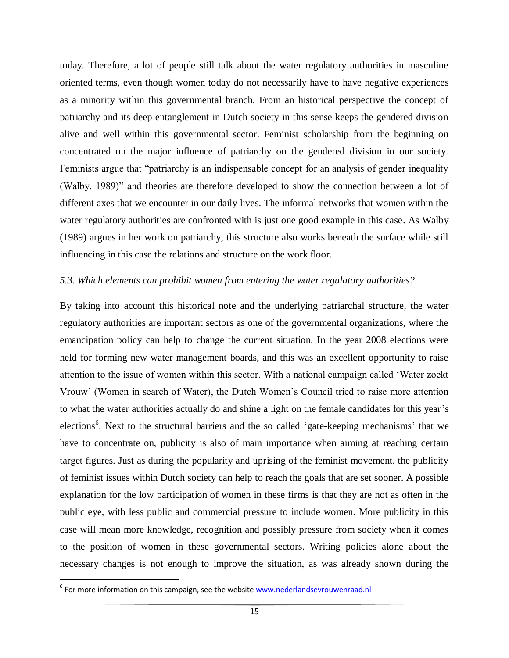today. Therefore, a lot of people still talk about the water regulatory authorities in masculine oriented terms, even though women today do not necessarily have to have negative experiences as a minority within this governmental branch. From an historical perspective the concept of patriarchy and its deep entanglement in Dutch society in this sense keeps the gendered division alive and well within this governmental sector. Feminist scholarship from the beginning on concentrated on the major influence of patriarchy on the gendered division in our society. Feminists argue that "patriarchy is an indispensable concept for an analysis of gender inequality (Walby, 1989)" and theories are therefore developed to show the connection between a lot of different axes that we encounter in our daily lives. The informal networks that women within the water regulatory authorities are confronted with is just one good example in this case. As Walby (1989) argues in her work on patriarchy, this structure also works beneath the surface while still influencing in this case the relations and structure on the work floor.

#### *5.3. Which elements can prohibit women from entering the water regulatory authorities?*

By taking into account this historical note and the underlying patriarchal structure, the water regulatory authorities are important sectors as one of the governmental organizations, where the emancipation policy can help to change the current situation. In the year 2008 elections were held for forming new water management boards, and this was an excellent opportunity to raise attention to the issue of women within this sector. With a national campaign called "Water zoekt Vrouw" (Women in search of Water), the Dutch Women"s Council tried to raise more attention to what the water authorities actually do and shine a light on the female candidates for this year"s elections<sup>6</sup>. Next to the structural barriers and the so called 'gate-keeping mechanisms' that we have to concentrate on, publicity is also of main importance when aiming at reaching certain target figures. Just as during the popularity and uprising of the feminist movement, the publicity of feminist issues within Dutch society can help to reach the goals that are set sooner. A possible explanation for the low participation of women in these firms is that they are not as often in the public eye, with less public and commercial pressure to include women. More publicity in this case will mean more knowledge, recognition and possibly pressure from society when it comes to the position of women in these governmental sectors. Writing policies alone about the necessary changes is not enough to improve the situation, as was already shown during the

 $\overline{a}$ 

<sup>&</sup>lt;sup>6</sup> For more information on this campaign, see the website [www.nederlandsevrouwenraad.nl](http://www.nederlandsevrouwenraad.nl/)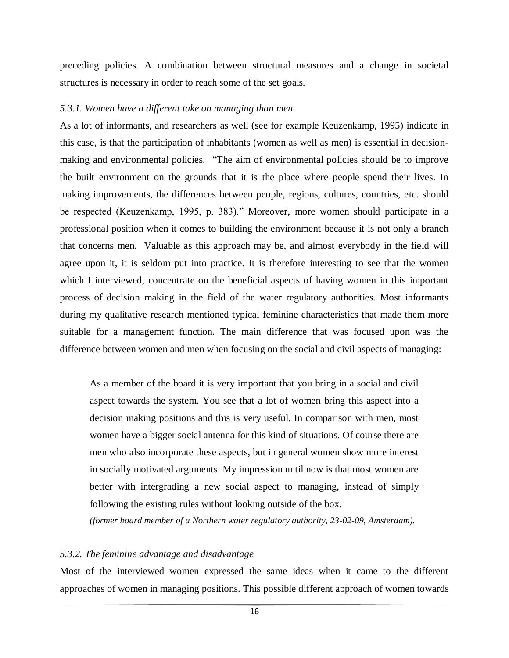preceding policies. A combination between structural measures and a change in societal structures is necessary in order to reach some of the set goals.

#### *5.3.1. Women have a different take on managing than men*

As a lot of informants, and researchers as well (see for example Keuzenkamp, 1995) indicate in this case, is that the participation of inhabitants (women as well as men) is essential in decisionmaking and environmental policies. "The aim of environmental policies should be to improve the built environment on the grounds that it is the place where people spend their lives. In making improvements, the differences between people, regions, cultures, countries, etc. should be respected (Keuzenkamp, 1995, p. 383)." Moreover, more women should participate in a professional position when it comes to building the environment because it is not only a branch that concerns men. Valuable as this approach may be, and almost everybody in the field will agree upon it, it is seldom put into practice. It is therefore interesting to see that the women which I interviewed, concentrate on the beneficial aspects of having women in this important process of decision making in the field of the water regulatory authorities. Most informants during my qualitative research mentioned typical feminine characteristics that made them more suitable for a management function. The main difference that was focused upon was the difference between women and men when focusing on the social and civil aspects of managing:

As a member of the board it is very important that you bring in a social and civil aspect towards the system. You see that a lot of women bring this aspect into a decision making positions and this is very useful. In comparison with men, most women have a bigger social antenna for this kind of situations. Of course there are men who also incorporate these aspects, but in general women show more interest in socially motivated arguments. My impression until now is that most women are better with intergrading a new social aspect to managing, instead of simply following the existing rules without looking outside of the box.

*(former board member of a Northern water regulatory authority, 23-02-09, Amsterdam).*

# *5.3.2. The feminine advantage and disadvantage*

Most of the interviewed women expressed the same ideas when it came to the different approaches of women in managing positions. This possible different approach of women towards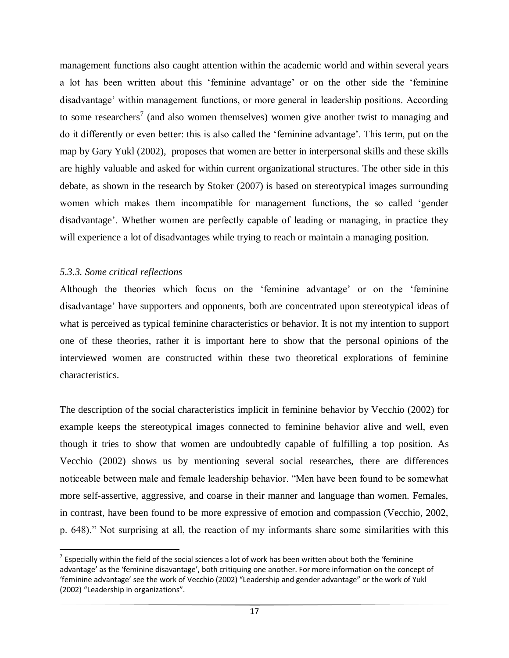management functions also caught attention within the academic world and within several years a lot has been written about this "feminine advantage" or on the other side the "feminine disadvantage' within management functions, or more general in leadership positions. According to some researchers<sup>7</sup> (and also women themselves) women give another twist to managing and do it differently or even better: this is also called the "feminine advantage". This term, put on the map by Gary Yukl (2002), proposes that women are better in interpersonal skills and these skills are highly valuable and asked for within current organizational structures. The other side in this debate, as shown in the research by Stoker (2007) is based on stereotypical images surrounding women which makes them incompatible for management functions, the so called "gender disadvantage'. Whether women are perfectly capable of leading or managing, in practice they will experience a lot of disadvantages while trying to reach or maintain a managing position.

# *5.3.3. Some critical reflections*

 $\overline{a}$ 

Although the theories which focus on the "feminine advantage" or on the "feminine disadvantage" have supporters and opponents, both are concentrated upon stereotypical ideas of what is perceived as typical feminine characteristics or behavior. It is not my intention to support one of these theories, rather it is important here to show that the personal opinions of the interviewed women are constructed within these two theoretical explorations of feminine characteristics.

The description of the social characteristics implicit in feminine behavior by Vecchio (2002) for example keeps the stereotypical images connected to feminine behavior alive and well, even though it tries to show that women are undoubtedly capable of fulfilling a top position. As Vecchio (2002) shows us by mentioning several social researches, there are differences noticeable between male and female leadership behavior. "Men have been found to be somewhat more self-assertive, aggressive, and coarse in their manner and language than women. Females, in contrast, have been found to be more expressive of emotion and compassion (Vecchio, 2002, p. 648)." Not surprising at all, the reaction of my informants share some similarities with this

 $^7$  Especially within the field of the social sciences a lot of work has been written about both the 'feminine advantage' as the 'feminine disavantage', both critiquing one another. For more information on the concept of 'feminine advantage' see the work of Vecchio (2002) "Leadership and gender advantage" or the work of Yukl (2002) "Leadership in organizations".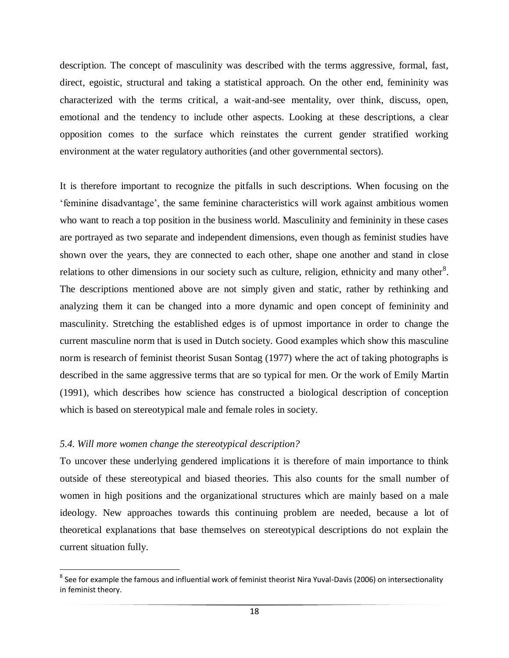description. The concept of masculinity was described with the terms aggressive, formal, fast, direct, egoistic, structural and taking a statistical approach. On the other end, femininity was characterized with the terms critical, a wait-and-see mentality, over think, discuss, open, emotional and the tendency to include other aspects. Looking at these descriptions, a clear opposition comes to the surface which reinstates the current gender stratified working environment at the water regulatory authorities (and other governmental sectors).

It is therefore important to recognize the pitfalls in such descriptions. When focusing on the "feminine disadvantage", the same feminine characteristics will work against ambitious women who want to reach a top position in the business world. Masculinity and femininity in these cases are portrayed as two separate and independent dimensions, even though as feminist studies have shown over the years, they are connected to each other, shape one another and stand in close relations to other dimensions in our society such as culture, religion, ethnicity and many other<sup>8</sup>. The descriptions mentioned above are not simply given and static, rather by rethinking and analyzing them it can be changed into a more dynamic and open concept of femininity and masculinity. Stretching the established edges is of upmost importance in order to change the current masculine norm that is used in Dutch society. Good examples which show this masculine norm is research of feminist theorist Susan Sontag (1977) where the act of taking photographs is described in the same aggressive terms that are so typical for men. Or the work of Emily Martin (1991), which describes how science has constructed a biological description of conception which is based on stereotypical male and female roles in society.

# *5.4. Will more women change the stereotypical description?*

 $\overline{\phantom{a}}$ 

To uncover these underlying gendered implications it is therefore of main importance to think outside of these stereotypical and biased theories. This also counts for the small number of women in high positions and the organizational structures which are mainly based on a male ideology. New approaches towards this continuing problem are needed, because a lot of theoretical explanations that base themselves on stereotypical descriptions do not explain the current situation fully.

 $^8$  See for example the famous and influential work of feminist theorist Nira Yuval-Davis (2006) on intersectionality in feminist theory.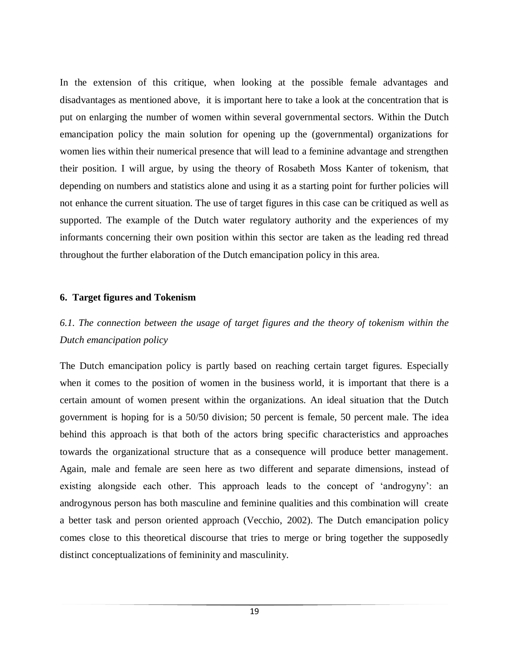In the extension of this critique, when looking at the possible female advantages and disadvantages as mentioned above, it is important here to take a look at the concentration that is put on enlarging the number of women within several governmental sectors. Within the Dutch emancipation policy the main solution for opening up the (governmental) organizations for women lies within their numerical presence that will lead to a feminine advantage and strengthen their position. I will argue, by using the theory of Rosabeth Moss Kanter of tokenism, that depending on numbers and statistics alone and using it as a starting point for further policies will not enhance the current situation. The use of target figures in this case can be critiqued as well as supported. The example of the Dutch water regulatory authority and the experiences of my informants concerning their own position within this sector are taken as the leading red thread throughout the further elaboration of the Dutch emancipation policy in this area.

# **6. Target figures and Tokenism**

# *6.1. The connection between the usage of target figures and the theory of tokenism within the Dutch emancipation policy*

The Dutch emancipation policy is partly based on reaching certain target figures. Especially when it comes to the position of women in the business world, it is important that there is a certain amount of women present within the organizations. An ideal situation that the Dutch government is hoping for is a 50/50 division; 50 percent is female, 50 percent male. The idea behind this approach is that both of the actors bring specific characteristics and approaches towards the organizational structure that as a consequence will produce better management. Again, male and female are seen here as two different and separate dimensions, instead of existing alongside each other. This approach leads to the concept of "androgyny": an androgynous person has both masculine and feminine qualities and this combination will create a better task and person oriented approach (Vecchio, 2002). The Dutch emancipation policy comes close to this theoretical discourse that tries to merge or bring together the supposedly distinct conceptualizations of femininity and masculinity.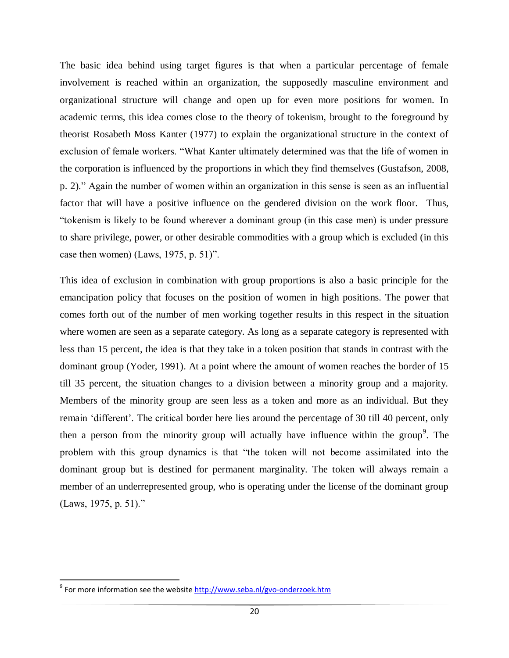The basic idea behind using target figures is that when a particular percentage of female involvement is reached within an organization, the supposedly masculine environment and organizational structure will change and open up for even more positions for women. In academic terms, this idea comes close to the theory of tokenism, brought to the foreground by theorist Rosabeth Moss Kanter (1977) to explain the organizational structure in the context of exclusion of female workers. "What Kanter ultimately determined was that the life of women in the corporation is influenced by the proportions in which they find themselves (Gustafson, 2008, p. 2)." Again the number of women within an organization in this sense is seen as an influential factor that will have a positive influence on the gendered division on the work floor. Thus, "tokenism is likely to be found wherever a dominant group (in this case men) is under pressure to share privilege, power, or other desirable commodities with a group which is excluded (in this case then women) (Laws, 1975, p. 51)".

This idea of exclusion in combination with group proportions is also a basic principle for the emancipation policy that focuses on the position of women in high positions. The power that comes forth out of the number of men working together results in this respect in the situation where women are seen as a separate category. As long as a separate category is represented with less than 15 percent, the idea is that they take in a token position that stands in contrast with the dominant group (Yoder, 1991). At a point where the amount of women reaches the border of 15 till 35 percent, the situation changes to a division between a minority group and a majority. Members of the minority group are seen less as a token and more as an individual. But they remain "different". The critical border here lies around the percentage of 30 till 40 percent, only then a person from the minority group will actually have influence within the group<sup>9</sup>. The problem with this group dynamics is that "the token will not become assimilated into the dominant group but is destined for permanent marginality. The token will always remain a member of an underrepresented group, who is operating under the license of the dominant group (Laws, 1975, p. 51)."

 $\overline{a}$ 

<sup>&</sup>lt;sup>9</sup> For more information see the website <u>http://www.seba.nl/gvo-onderzoek.htm</u>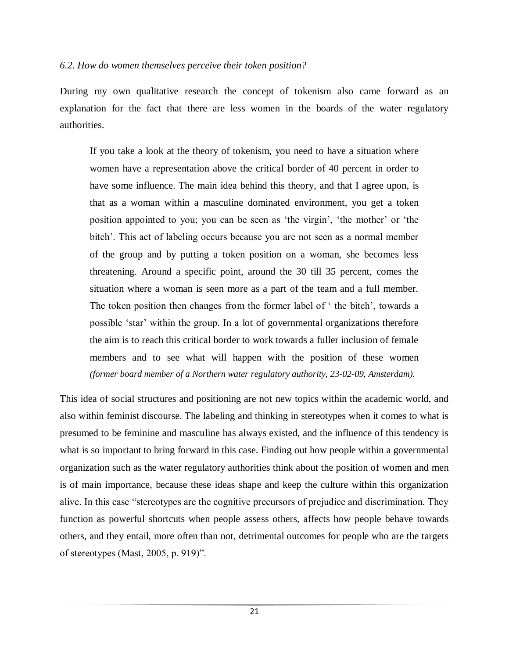# *6.2. How do women themselves perceive their token position?*

During my own qualitative research the concept of tokenism also came forward as an explanation for the fact that there are less women in the boards of the water regulatory authorities.

If you take a look at the theory of tokenism, you need to have a situation where women have a representation above the critical border of 40 percent in order to have some influence. The main idea behind this theory, and that I agree upon, is that as a woman within a masculine dominated environment, you get a token position appointed to you; you can be seen as "the virgin", "the mother" or "the bitch'. This act of labeling occurs because you are not seen as a normal member of the group and by putting a token position on a woman, she becomes less threatening. Around a specific point, around the 30 till 35 percent, comes the situation where a woman is seen more as a part of the team and a full member. The token position then changes from the former label of ' the bitch', towards a possible "star" within the group. In a lot of governmental organizations therefore the aim is to reach this critical border to work towards a fuller inclusion of female members and to see what will happen with the position of these women *(former board member of a Northern water regulatory authority, 23-02-09, Amsterdam).*

This idea of social structures and positioning are not new topics within the academic world, and also within feminist discourse. The labeling and thinking in stereotypes when it comes to what is presumed to be feminine and masculine has always existed, and the influence of this tendency is what is so important to bring forward in this case. Finding out how people within a governmental organization such as the water regulatory authorities think about the position of women and men is of main importance, because these ideas shape and keep the culture within this organization alive. In this case "stereotypes are the cognitive precursors of prejudice and discrimination. They function as powerful shortcuts when people assess others, affects how people behave towards others, and they entail, more often than not, detrimental outcomes for people who are the targets of stereotypes (Mast, 2005, p. 919)".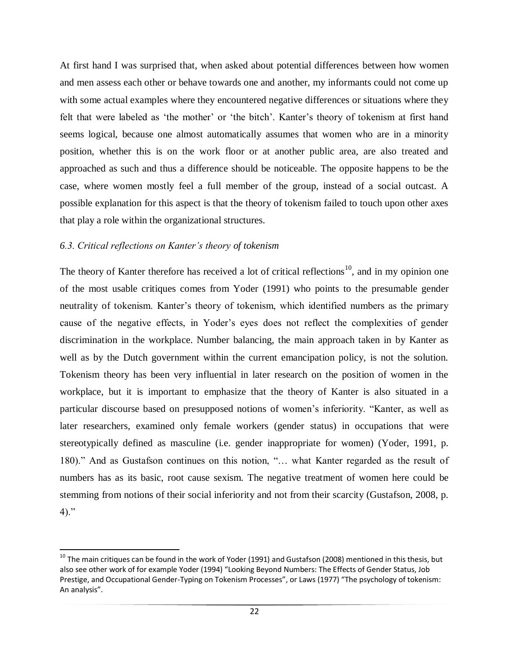At first hand I was surprised that, when asked about potential differences between how women and men assess each other or behave towards one and another, my informants could not come up with some actual examples where they encountered negative differences or situations where they felt that were labeled as 'the mother' or 'the bitch'. Kanter's theory of tokenism at first hand seems logical, because one almost automatically assumes that women who are in a minority position, whether this is on the work floor or at another public area, are also treated and approached as such and thus a difference should be noticeable. The opposite happens to be the case, where women mostly feel a full member of the group, instead of a social outcast. A possible explanation for this aspect is that the theory of tokenism failed to touch upon other axes that play a role within the organizational structures.

# *6.3. Critical reflections on Kanter"s theory of tokenism*

The theory of Kanter therefore has received a lot of critical reflections<sup>10</sup>, and in my opinion one of the most usable critiques comes from Yoder (1991) who points to the presumable gender neutrality of tokenism. Kanter's theory of tokenism, which identified numbers as the primary cause of the negative effects, in Yoder"s eyes does not reflect the complexities of gender discrimination in the workplace. Number balancing, the main approach taken in by Kanter as well as by the Dutch government within the current emancipation policy, is not the solution. Tokenism theory has been very influential in later research on the position of women in the workplace, but it is important to emphasize that the theory of Kanter is also situated in a particular discourse based on presupposed notions of women"s inferiority. "Kanter, as well as later researchers, examined only female workers (gender status) in occupations that were stereotypically defined as masculine (i.e. gender inappropriate for women) (Yoder, 1991, p. 180)." And as Gustafson continues on this notion, "… what Kanter regarded as the result of numbers has as its basic, root cause sexism. The negative treatment of women here could be stemming from notions of their social inferiority and not from their scarcity (Gustafson, 2008, p. 4)."

 $\overline{a}$  $^{10}$  The main critiques can be found in the work of Yoder (1991) and Gustafson (2008) mentioned in this thesis, but also see other work of for example Yoder (1994) "Looking Beyond Numbers: The Effects of Gender Status, Job Prestige, and Occupational Gender-Typing on Tokenism Processes", or Laws (1977) "The psychology of tokenism: An analysis".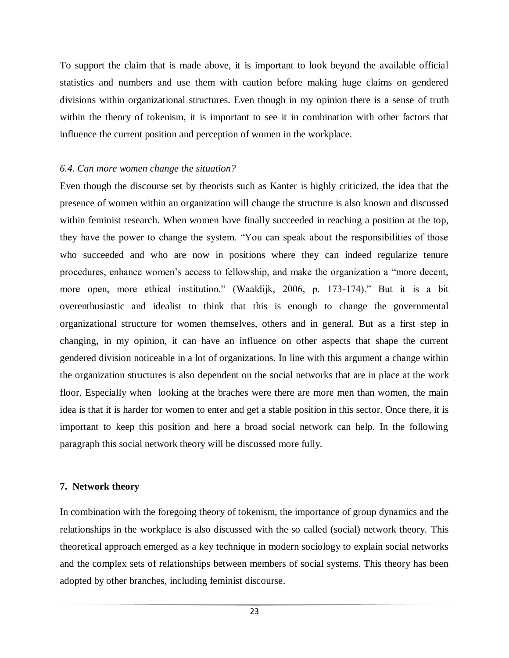To support the claim that is made above, it is important to look beyond the available official statistics and numbers and use them with caution before making huge claims on gendered divisions within organizational structures. Even though in my opinion there is a sense of truth within the theory of tokenism, it is important to see it in combination with other factors that influence the current position and perception of women in the workplace.

# *6.4. Can more women change the situation?*

Even though the discourse set by theorists such as Kanter is highly criticized, the idea that the presence of women within an organization will change the structure is also known and discussed within feminist research. When women have finally succeeded in reaching a position at the top, they have the power to change the system. "You can speak about the responsibilities of those who succeeded and who are now in positions where they can indeed regularize tenure procedures, enhance women"s access to fellowship, and make the organization a "more decent, more open, more ethical institution." (Waaldijk, 2006, p. 173-174)." But it is a bit overenthusiastic and idealist to think that this is enough to change the governmental organizational structure for women themselves, others and in general. But as a first step in changing, in my opinion, it can have an influence on other aspects that shape the current gendered division noticeable in a lot of organizations. In line with this argument a change within the organization structures is also dependent on the social networks that are in place at the work floor. Especially when looking at the braches were there are more men than women, the main idea is that it is harder for women to enter and get a stable position in this sector. Once there, it is important to keep this position and here a broad social network can help. In the following paragraph this social network theory will be discussed more fully.

# **7. Network theory**

In combination with the foregoing theory of tokenism, the importance of group dynamics and the relationships in the workplace is also discussed with the so called (social) network theory. This theoretical approach emerged as a key technique in modern sociology to explain social networks and the complex sets of relationships between members of social systems. This theory has been adopted by other branches, including feminist discourse.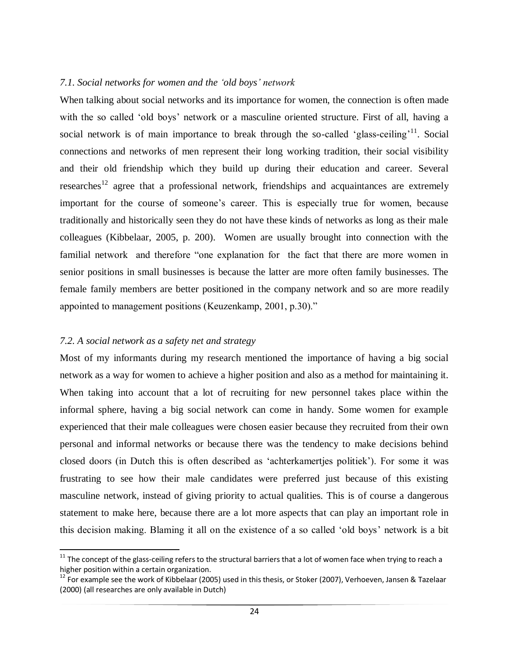# *7.1. Social networks for women and the "old boys" network*

When talking about social networks and its importance for women, the connection is often made with the so called 'old boys' network or a masculine oriented structure. First of all, having a social network is of main importance to break through the so-called 'glass-ceiling'<sup>11</sup>. Social connections and networks of men represent their long working tradition, their social visibility and their old friendship which they build up during their education and career. Several researches<sup>12</sup> agree that a professional network, friendships and acquaintances are extremely important for the course of someone's career. This is especially true for women, because traditionally and historically seen they do not have these kinds of networks as long as their male colleagues (Kibbelaar, 2005, p. 200). Women are usually brought into connection with the familial network and therefore "one explanation for the fact that there are more women in senior positions in small businesses is because the latter are more often family businesses. The female family members are better positioned in the company network and so are more readily appointed to management positions (Keuzenkamp, 2001, p.30)."

# *7.2. A social network as a safety net and strategy*

 $\overline{a}$ 

Most of my informants during my research mentioned the importance of having a big social network as a way for women to achieve a higher position and also as a method for maintaining it. When taking into account that a lot of recruiting for new personnel takes place within the informal sphere, having a big social network can come in handy. Some women for example experienced that their male colleagues were chosen easier because they recruited from their own personal and informal networks or because there was the tendency to make decisions behind closed doors (in Dutch this is often described as "achterkamertjes politiek"). For some it was frustrating to see how their male candidates were preferred just because of this existing masculine network, instead of giving priority to actual qualities. This is of course a dangerous statement to make here, because there are a lot more aspects that can play an important role in this decision making. Blaming it all on the existence of a so called "old boys" network is a bit

 $11$  The concept of the glass-ceiling refers to the structural barriers that a lot of women face when trying to reach a higher position within a certain organization.

 $12$  For example see the work of Kibbelaar (2005) used in this thesis, or Stoker (2007), Verhoeven, Jansen & Tazelaar (2000) (all researches are only available in Dutch)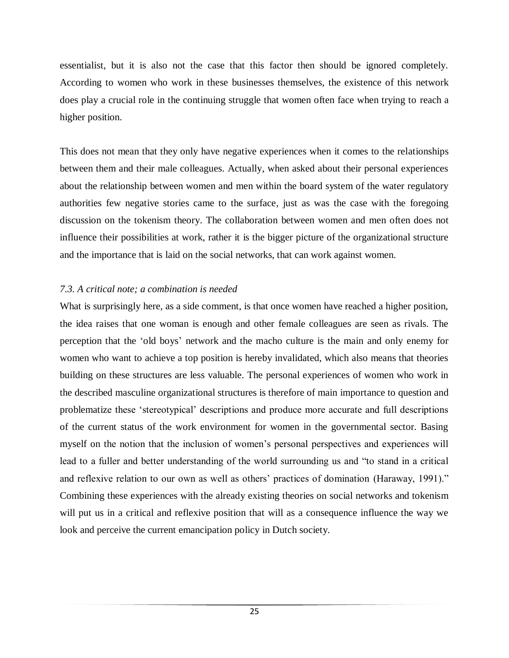essentialist, but it is also not the case that this factor then should be ignored completely. According to women who work in these businesses themselves, the existence of this network does play a crucial role in the continuing struggle that women often face when trying to reach a higher position.

This does not mean that they only have negative experiences when it comes to the relationships between them and their male colleagues. Actually, when asked about their personal experiences about the relationship between women and men within the board system of the water regulatory authorities few negative stories came to the surface, just as was the case with the foregoing discussion on the tokenism theory. The collaboration between women and men often does not influence their possibilities at work, rather it is the bigger picture of the organizational structure and the importance that is laid on the social networks, that can work against women.

# *7.3. A critical note; a combination is needed*

What is surprisingly here, as a side comment, is that once women have reached a higher position, the idea raises that one woman is enough and other female colleagues are seen as rivals. The perception that the "old boys" network and the macho culture is the main and only enemy for women who want to achieve a top position is hereby invalidated, which also means that theories building on these structures are less valuable. The personal experiences of women who work in the described masculine organizational structures is therefore of main importance to question and problematize these "stereotypical" descriptions and produce more accurate and full descriptions of the current status of the work environment for women in the governmental sector. Basing myself on the notion that the inclusion of women"s personal perspectives and experiences will lead to a fuller and better understanding of the world surrounding us and "to stand in a critical and reflexive relation to our own as well as others' practices of domination (Haraway, 1991)." Combining these experiences with the already existing theories on social networks and tokenism will put us in a critical and reflexive position that will as a consequence influence the way we look and perceive the current emancipation policy in Dutch society.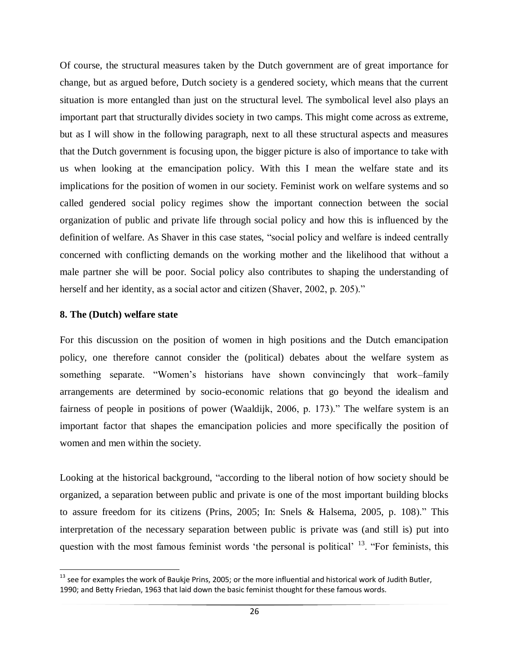Of course, the structural measures taken by the Dutch government are of great importance for change, but as argued before, Dutch society is a gendered society, which means that the current situation is more entangled than just on the structural level. The symbolical level also plays an important part that structurally divides society in two camps. This might come across as extreme, but as I will show in the following paragraph, next to all these structural aspects and measures that the Dutch government is focusing upon, the bigger picture is also of importance to take with us when looking at the emancipation policy. With this I mean the welfare state and its implications for the position of women in our society. Feminist work on welfare systems and so called gendered social policy regimes show the important connection between the social organization of public and private life through social policy and how this is influenced by the definition of welfare. As Shaver in this case states, "social policy and welfare is indeed centrally concerned with conflicting demands on the working mother and the likelihood that without a male partner she will be poor. Social policy also contributes to shaping the understanding of herself and her identity, as a social actor and citizen (Shaver, 2002, p. 205)."

#### **8. The (Dutch) welfare state**

 $\overline{\phantom{a}}$ 

For this discussion on the position of women in high positions and the Dutch emancipation policy, one therefore cannot consider the (political) debates about the welfare system as something separate. "Women"s historians have shown convincingly that work–family arrangements are determined by socio-economic relations that go beyond the idealism and fairness of people in positions of power (Waaldijk, 2006, p. 173)." The welfare system is an important factor that shapes the emancipation policies and more specifically the position of women and men within the society.

Looking at the historical background, "according to the liberal notion of how society should be organized, a separation between public and private is one of the most important building blocks to assure freedom for its citizens (Prins, 2005; In: Snels & Halsema, 2005, p. 108)." This interpretation of the necessary separation between public is private was (and still is) put into question with the most famous feminist words 'the personal is political'  $^{13}$ . "For feminists, this

 $13$  see for examples the work of Baukje Prins, 2005; or the more influential and historical work of Judith Butler, 1990; and Betty Friedan, 1963 that laid down the basic feminist thought for these famous words.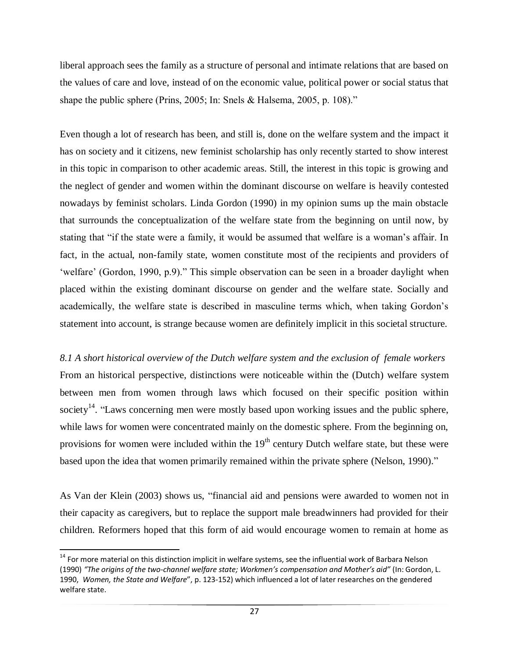liberal approach sees the family as a structure of personal and intimate relations that are based on the values of care and love, instead of on the economic value, political power or social status that shape the public sphere (Prins, 2005; In: Snels & Halsema, 2005, p. 108)."

Even though a lot of research has been, and still is, done on the welfare system and the impact it has on society and it citizens, new feminist scholarship has only recently started to show interest in this topic in comparison to other academic areas. Still, the interest in this topic is growing and the neglect of gender and women within the dominant discourse on welfare is heavily contested nowadays by feminist scholars. Linda Gordon (1990) in my opinion sums up the main obstacle that surrounds the conceptualization of the welfare state from the beginning on until now, by stating that "if the state were a family, it would be assumed that welfare is a woman's affair. In fact, in the actual, non-family state, women constitute most of the recipients and providers of "welfare" (Gordon, 1990, p.9)." This simple observation can be seen in a broader daylight when placed within the existing dominant discourse on gender and the welfare state. Socially and academically, the welfare state is described in masculine terms which, when taking Gordon"s statement into account, is strange because women are definitely implicit in this societal structure.

# *8.1 A short historical overview of the Dutch welfare system and the exclusion of female workers*

From an historical perspective, distinctions were noticeable within the (Dutch) welfare system between men from women through laws which focused on their specific position within society<sup>14</sup>. "Laws concerning men were mostly based upon working issues and the public sphere, while laws for women were concentrated mainly on the domestic sphere. From the beginning on, provisions for women were included within the  $19<sup>th</sup>$  century Dutch welfare state, but these were based upon the idea that women primarily remained within the private sphere (Nelson, 1990)."

As Van der Klein (2003) shows us, "financial aid and pensions were awarded to women not in their capacity as caregivers, but to replace the support male breadwinners had provided for their children. Reformers hoped that this form of aid would encourage women to remain at home as

 $\overline{a}$ 

 $14$  For more material on this distinction implicit in welfare systems, see the influential work of Barbara Nelson (1990) *"The origins of the two-channel welfare state; Workmen's compensation and Mother's aid"* (In: Gordon, L. 1990, *Women, the State and Welfare*", p. 123-152) which influenced a lot of later researches on the gendered welfare state.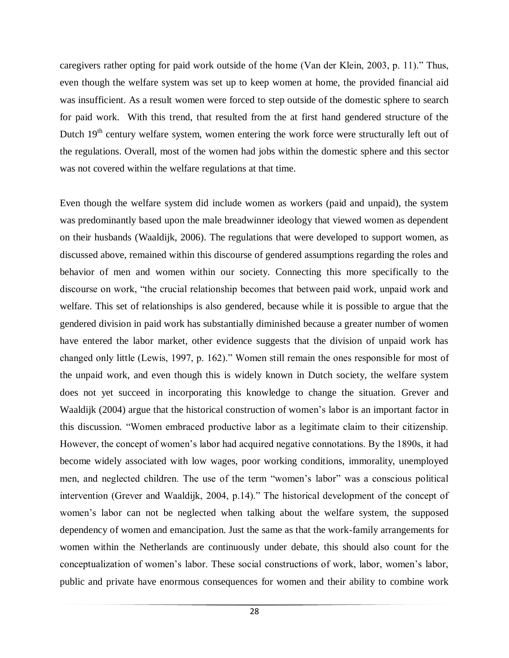caregivers rather opting for paid work outside of the home (Van der Klein, 2003, p. 11)." Thus, even though the welfare system was set up to keep women at home, the provided financial aid was insufficient. As a result women were forced to step outside of the domestic sphere to search for paid work. With this trend, that resulted from the at first hand gendered structure of the Dutch  $19<sup>th</sup>$  century welfare system, women entering the work force were structurally left out of the regulations. Overall, most of the women had jobs within the domestic sphere and this sector was not covered within the welfare regulations at that time.

Even though the welfare system did include women as workers (paid and unpaid), the system was predominantly based upon the male breadwinner ideology that viewed women as dependent on their husbands (Waaldijk, 2006). The regulations that were developed to support women, as discussed above, remained within this discourse of gendered assumptions regarding the roles and behavior of men and women within our society. Connecting this more specifically to the discourse on work, "the crucial relationship becomes that between paid work, unpaid work and welfare. This set of relationships is also gendered, because while it is possible to argue that the gendered division in paid work has substantially diminished because a greater number of women have entered the labor market, other evidence suggests that the division of unpaid work has changed only little (Lewis, 1997, p. 162)." Women still remain the ones responsible for most of the unpaid work, and even though this is widely known in Dutch society, the welfare system does not yet succeed in incorporating this knowledge to change the situation. Grever and Waaldijk (2004) argue that the historical construction of women"s labor is an important factor in this discussion. "Women embraced productive labor as a legitimate claim to their citizenship. However, the concept of women"s labor had acquired negative connotations. By the 1890s, it had become widely associated with low wages, poor working conditions, immorality, unemployed men, and neglected children. The use of the term "women"s labor" was a conscious political intervention (Grever and Waaldijk, 2004, p.14)." The historical development of the concept of women"s labor can not be neglected when talking about the welfare system, the supposed dependency of women and emancipation. Just the same as that the work-family arrangements for women within the Netherlands are continuously under debate, this should also count for the conceptualization of women"s labor. These social constructions of work, labor, women"s labor, public and private have enormous consequences for women and their ability to combine work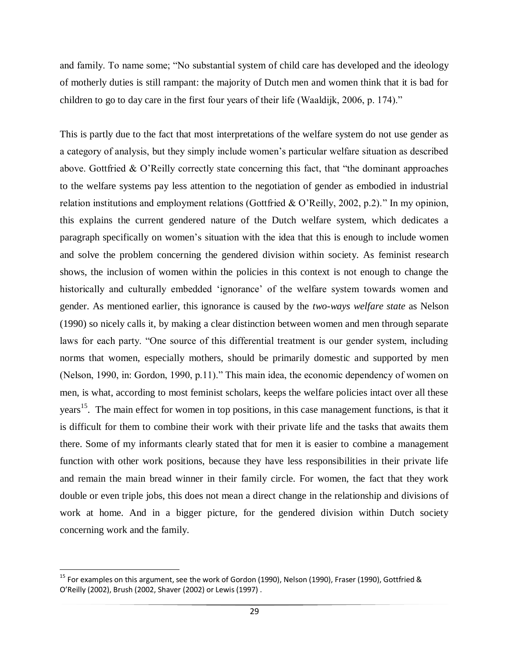and family. To name some; "No substantial system of child care has developed and the ideology of motherly duties is still rampant: the majority of Dutch men and women think that it is bad for children to go to day care in the first four years of their life (Waaldijk, 2006, p. 174)."

This is partly due to the fact that most interpretations of the welfare system do not use gender as a category of analysis, but they simply include women"s particular welfare situation as described above. Gottfried & O"Reilly correctly state concerning this fact, that "the dominant approaches to the welfare systems pay less attention to the negotiation of gender as embodied in industrial relation institutions and employment relations (Gottfried & O"Reilly, 2002, p.2)." In my opinion, this explains the current gendered nature of the Dutch welfare system, which dedicates a paragraph specifically on women"s situation with the idea that this is enough to include women and solve the problem concerning the gendered division within society. As feminist research shows, the inclusion of women within the policies in this context is not enough to change the historically and culturally embedded 'ignorance' of the welfare system towards women and gender. As mentioned earlier, this ignorance is caused by the *two-ways welfare state* as Nelson (1990) so nicely calls it, by making a clear distinction between women and men through separate laws for each party. "One source of this differential treatment is our gender system, including norms that women, especially mothers, should be primarily domestic and supported by men (Nelson, 1990, in: Gordon, 1990, p.11)." This main idea, the economic dependency of women on men, is what, according to most feminist scholars, keeps the welfare policies intact over all these years<sup>15</sup>. The main effect for women in top positions, in this case management functions, is that it is difficult for them to combine their work with their private life and the tasks that awaits them there. Some of my informants clearly stated that for men it is easier to combine a management function with other work positions, because they have less responsibilities in their private life and remain the main bread winner in their family circle. For women, the fact that they work double or even triple jobs, this does not mean a direct change in the relationship and divisions of work at home. And in a bigger picture, for the gendered division within Dutch society concerning work and the family.

 $\overline{\phantom{a}}$ 

<sup>&</sup>lt;sup>15</sup> For examples on this argument, see the work of Gordon (1990), Nelson (1990), Fraser (1990), Gottfried & O'Reilly (2002), Brush (2002, Shaver (2002) or Lewis (1997) .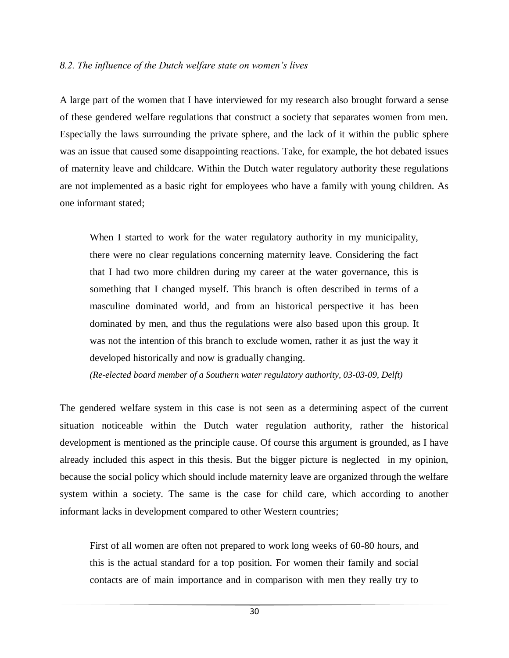#### *8.2. The influence of the Dutch welfare state on women"s lives*

A large part of the women that I have interviewed for my research also brought forward a sense of these gendered welfare regulations that construct a society that separates women from men. Especially the laws surrounding the private sphere, and the lack of it within the public sphere was an issue that caused some disappointing reactions. Take, for example, the hot debated issues of maternity leave and childcare. Within the Dutch water regulatory authority these regulations are not implemented as a basic right for employees who have a family with young children. As one informant stated;

When I started to work for the water regulatory authority in my municipality, there were no clear regulations concerning maternity leave. Considering the fact that I had two more children during my career at the water governance, this is something that I changed myself. This branch is often described in terms of a masculine dominated world, and from an historical perspective it has been dominated by men, and thus the regulations were also based upon this group. It was not the intention of this branch to exclude women, rather it as just the way it developed historically and now is gradually changing.

*(Re-elected board member of a Southern water regulatory authority, 03-03-09, Delft)*

The gendered welfare system in this case is not seen as a determining aspect of the current situation noticeable within the Dutch water regulation authority, rather the historical development is mentioned as the principle cause. Of course this argument is grounded, as I have already included this aspect in this thesis. But the bigger picture is neglected in my opinion, because the social policy which should include maternity leave are organized through the welfare system within a society. The same is the case for child care, which according to another informant lacks in development compared to other Western countries;

First of all women are often not prepared to work long weeks of 60-80 hours, and this is the actual standard for a top position. For women their family and social contacts are of main importance and in comparison with men they really try to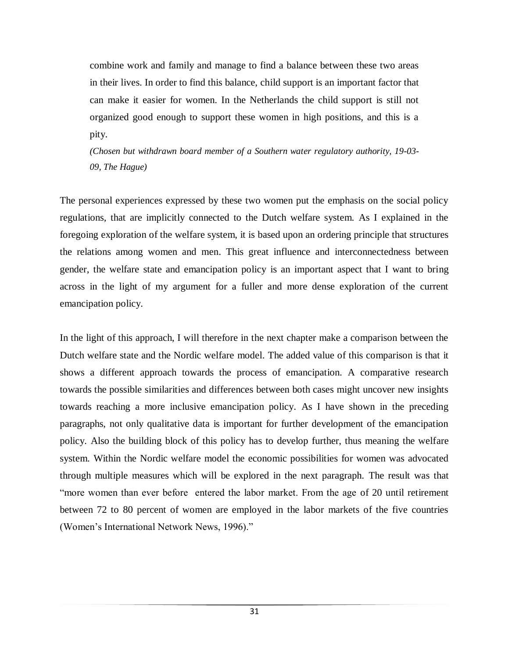combine work and family and manage to find a balance between these two areas in their lives. In order to find this balance, child support is an important factor that can make it easier for women. In the Netherlands the child support is still not organized good enough to support these women in high positions, and this is a pity.

*(Chosen but withdrawn board member of a Southern water regulatory authority, 19-03- 09, The Hague)*

The personal experiences expressed by these two women put the emphasis on the social policy regulations, that are implicitly connected to the Dutch welfare system. As I explained in the foregoing exploration of the welfare system, it is based upon an ordering principle that structures the relations among women and men. This great influence and interconnectedness between gender, the welfare state and emancipation policy is an important aspect that I want to bring across in the light of my argument for a fuller and more dense exploration of the current emancipation policy.

In the light of this approach, I will therefore in the next chapter make a comparison between the Dutch welfare state and the Nordic welfare model. The added value of this comparison is that it shows a different approach towards the process of emancipation. A comparative research towards the possible similarities and differences between both cases might uncover new insights towards reaching a more inclusive emancipation policy. As I have shown in the preceding paragraphs, not only qualitative data is important for further development of the emancipation policy. Also the building block of this policy has to develop further, thus meaning the welfare system. Within the Nordic welfare model the economic possibilities for women was advocated through multiple measures which will be explored in the next paragraph. The result was that "more women than ever before entered the labor market. From the age of 20 until retirement between 72 to 80 percent of women are employed in the labor markets of the five countries (Women"s International Network News, 1996)."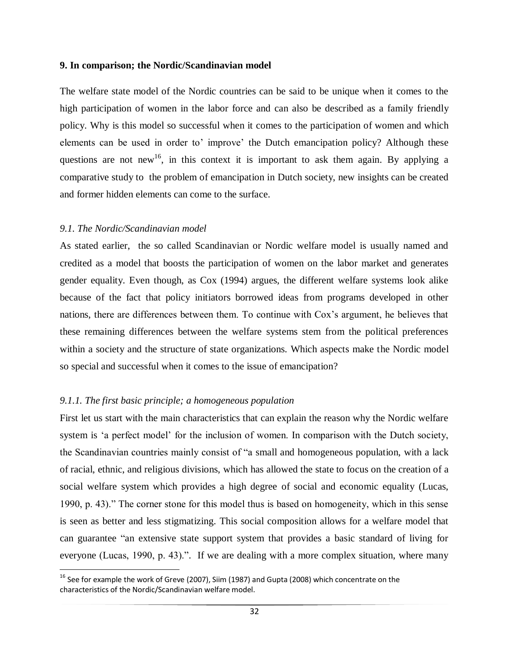#### **9. In comparison; the Nordic/Scandinavian model**

The welfare state model of the Nordic countries can be said to be unique when it comes to the high participation of women in the labor force and can also be described as a family friendly policy. Why is this model so successful when it comes to the participation of women and which elements can be used in order to' improve' the Dutch emancipation policy? Although these questions are not new<sup>16</sup>, in this context it is important to ask them again. By applying a comparative study to the problem of emancipation in Dutch society, new insights can be created and former hidden elements can come to the surface.

# *9.1. The Nordic/Scandinavian model*

 $\overline{\phantom{a}}$ 

As stated earlier, the so called Scandinavian or Nordic welfare model is usually named and credited as a model that boosts the participation of women on the labor market and generates gender equality. Even though, as Cox (1994) argues, the different welfare systems look alike because of the fact that policy initiators borrowed ideas from programs developed in other nations, there are differences between them. To continue with Cox's argument, he believes that these remaining differences between the welfare systems stem from the political preferences within a society and the structure of state organizations. Which aspects make the Nordic model so special and successful when it comes to the issue of emancipation?

# *9.1.1. The first basic principle; a homogeneous population*

First let us start with the main characteristics that can explain the reason why the Nordic welfare system is 'a perfect model' for the inclusion of women. In comparison with the Dutch society, the Scandinavian countries mainly consist of "a small and homogeneous population, with a lack of racial, ethnic, and religious divisions, which has allowed the state to focus on the creation of a social welfare system which provides a high degree of social and economic equality (Lucas, 1990, p. 43)." The corner stone for this model thus is based on homogeneity, which in this sense is seen as better and less stigmatizing. This social composition allows for a welfare model that can guarantee "an extensive state support system that provides a basic standard of living for everyone (Lucas, 1990, p. 43).". If we are dealing with a more complex situation, where many

 $^{16}$  See for example the work of Greve (2007), Siim (1987) and Gupta (2008) which concentrate on the characteristics of the Nordic/Scandinavian welfare model.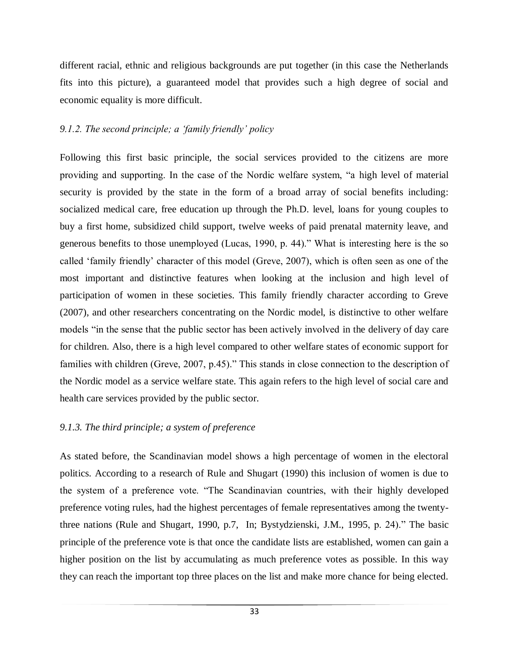different racial, ethnic and religious backgrounds are put together (in this case the Netherlands fits into this picture), a guaranteed model that provides such a high degree of social and economic equality is more difficult.

# *9.1.2. The second principle; a "family friendly" policy*

Following this first basic principle, the social services provided to the citizens are more providing and supporting. In the case of the Nordic welfare system, "a high level of material security is provided by the state in the form of a broad array of social benefits including: socialized medical care, free education up through the Ph.D. level, loans for young couples to buy a first home, subsidized child support, twelve weeks of paid prenatal maternity leave, and generous benefits to those unemployed (Lucas, 1990, p. 44)." What is interesting here is the so called "family friendly" character of this model (Greve, 2007), which is often seen as one of the most important and distinctive features when looking at the inclusion and high level of participation of women in these societies. This family friendly character according to Greve (2007), and other researchers concentrating on the Nordic model, is distinctive to other welfare models "in the sense that the public sector has been actively involved in the delivery of day care for children. Also, there is a high level compared to other welfare states of economic support for families with children (Greve, 2007, p.45)." This stands in close connection to the description of the Nordic model as a service welfare state. This again refers to the high level of social care and health care services provided by the public sector.

# *9.1.3. The third principle; a system of preference*

As stated before, the Scandinavian model shows a high percentage of women in the electoral politics. According to a research of Rule and Shugart (1990) this inclusion of women is due to the system of a preference vote. "The Scandinavian countries, with their highly developed preference voting rules, had the highest percentages of female representatives among the twentythree nations (Rule and Shugart, 1990, p.7, In; Bystydzienski, J.M., 1995, p. 24)." The basic principle of the preference vote is that once the candidate lists are established, women can gain a higher position on the list by accumulating as much preference votes as possible. In this way they can reach the important top three places on the list and make more chance for being elected.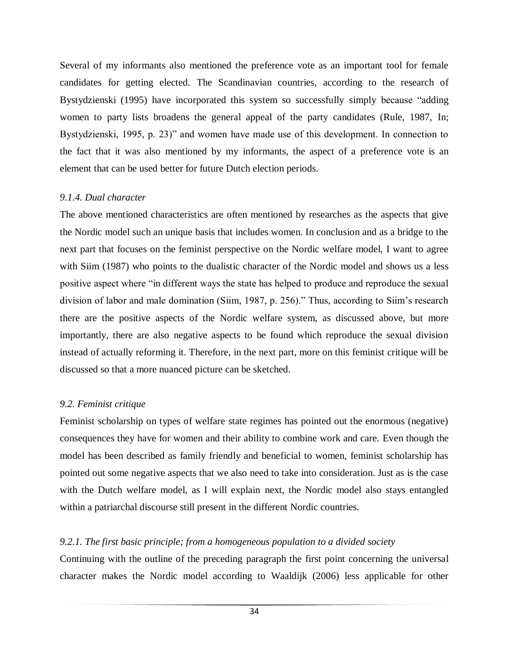Several of my informants also mentioned the preference vote as an important tool for female candidates for getting elected. The Scandinavian countries, according to the research of Bystydzienski (1995) have incorporated this system so successfully simply because "adding women to party lists broadens the general appeal of the party candidates (Rule, 1987, In; Bystydzienski, 1995, p. 23)" and women have made use of this development. In connection to the fact that it was also mentioned by my informants, the aspect of a preference vote is an element that can be used better for future Dutch election periods.

# *9.1.4. Dual character*

The above mentioned characteristics are often mentioned by researches as the aspects that give the Nordic model such an unique basis that includes women. In conclusion and as a bridge to the next part that focuses on the feminist perspective on the Nordic welfare model, I want to agree with Siim (1987) who points to the dualistic character of the Nordic model and shows us a less positive aspect where "in different ways the state has helped to produce and reproduce the sexual division of labor and male domination (Siim, 1987, p. 256)." Thus, according to Siim"s research there are the positive aspects of the Nordic welfare system, as discussed above, but more importantly, there are also negative aspects to be found which reproduce the sexual division instead of actually reforming it. Therefore, in the next part, more on this feminist critique will be discussed so that a more nuanced picture can be sketched.

# *9.2. Feminist critique*

Feminist scholarship on types of welfare state regimes has pointed out the enormous (negative) consequences they have for women and their ability to combine work and care. Even though the model has been described as family friendly and beneficial to women, feminist scholarship has pointed out some negative aspects that we also need to take into consideration. Just as is the case with the Dutch welfare model, as I will explain next, the Nordic model also stays entangled within a patriarchal discourse still present in the different Nordic countries.

# *9.2.1. The first basic principle; from a homogeneous population to a divided society*

Continuing with the outline of the preceding paragraph the first point concerning the universal character makes the Nordic model according to Waaldijk (2006) less applicable for other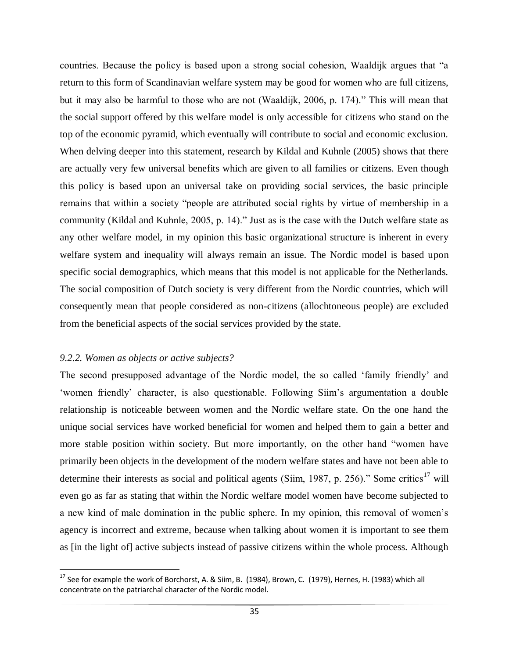countries. Because the policy is based upon a strong social cohesion, Waaldijk argues that "a return to this form of Scandinavian welfare system may be good for women who are full citizens, but it may also be harmful to those who are not (Waaldijk, 2006, p. 174)." This will mean that the social support offered by this welfare model is only accessible for citizens who stand on the top of the economic pyramid, which eventually will contribute to social and economic exclusion. When delving deeper into this statement, research by Kildal and Kuhnle (2005) shows that there are actually very few universal benefits which are given to all families or citizens. Even though this policy is based upon an universal take on providing social services, the basic principle remains that within a society "people are attributed social rights by virtue of membership in a community (Kildal and Kuhnle, 2005, p. 14)." Just as is the case with the Dutch welfare state as any other welfare model, in my opinion this basic organizational structure is inherent in every welfare system and inequality will always remain an issue. The Nordic model is based upon specific social demographics, which means that this model is not applicable for the Netherlands. The social composition of Dutch society is very different from the Nordic countries, which will consequently mean that people considered as non-citizens (allochtoneous people) are excluded from the beneficial aspects of the social services provided by the state.

# *9.2.2. Women as objects or active subjects?*

 $\overline{\phantom{a}}$ 

The second presupposed advantage of the Nordic model, the so called "family friendly" and "women friendly" character, is also questionable. Following Siim"s argumentation a double relationship is noticeable between women and the Nordic welfare state. On the one hand the unique social services have worked beneficial for women and helped them to gain a better and more stable position within society. But more importantly, on the other hand "women have primarily been objects in the development of the modern welfare states and have not been able to determine their interests as social and political agents (Siim, 1987, p. 256)." Some critics<sup>17</sup> will even go as far as stating that within the Nordic welfare model women have become subjected to a new kind of male domination in the public sphere. In my opinion, this removal of women"s agency is incorrect and extreme, because when talking about women it is important to see them as [in the light of] active subjects instead of passive citizens within the whole process. Although

 $17$  See for example the work of Borchorst, A. & Siim, B. (1984), Brown, C. (1979), Hernes, H. (1983) which all concentrate on the patriarchal character of the Nordic model.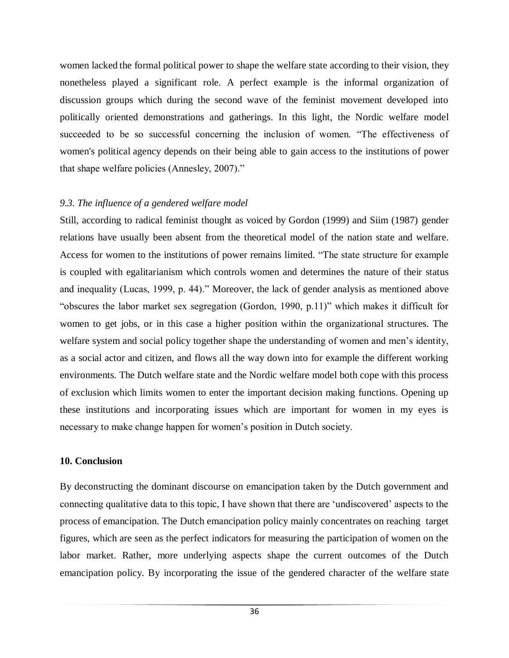women lacked the formal political power to shape the welfare state according to their vision, they nonetheless played a significant role. A perfect example is the informal organization of discussion groups which during the second wave of the feminist movement developed into politically oriented demonstrations and gatherings. In this light, the Nordic welfare model succeeded to be so successful concerning the inclusion of women. "The effectiveness of women's political agency depends on their being able to gain access to the institutions of power that shape welfare policies (Annesley, 2007)."

# *9.3. The influence of a gendered welfare model*

Still, according to radical feminist thought as voiced by Gordon (1999) and Siim (1987) gender relations have usually been absent from the theoretical model of the nation state and welfare. Access for women to the institutions of power remains limited. "The state structure for example is coupled with egalitarianism which controls women and determines the nature of their status and inequality (Lucas, 1999, p. 44)." Moreover, the lack of gender analysis as mentioned above "obscures the labor market sex segregation (Gordon, 1990, p.11)" which makes it difficult for women to get jobs, or in this case a higher position within the organizational structures. The welfare system and social policy together shape the understanding of women and men's identity, as a social actor and citizen, and flows all the way down into for example the different working environments. The Dutch welfare state and the Nordic welfare model both cope with this process of exclusion which limits women to enter the important decision making functions. Opening up these institutions and incorporating issues which are important for women in my eyes is necessary to make change happen for women"s position in Dutch society.

# **10. Conclusion**

By deconstructing the dominant discourse on emancipation taken by the Dutch government and connecting qualitative data to this topic, I have shown that there are "undiscovered" aspects to the process of emancipation. The Dutch emancipation policy mainly concentrates on reaching target figures, which are seen as the perfect indicators for measuring the participation of women on the labor market. Rather, more underlying aspects shape the current outcomes of the Dutch emancipation policy. By incorporating the issue of the gendered character of the welfare state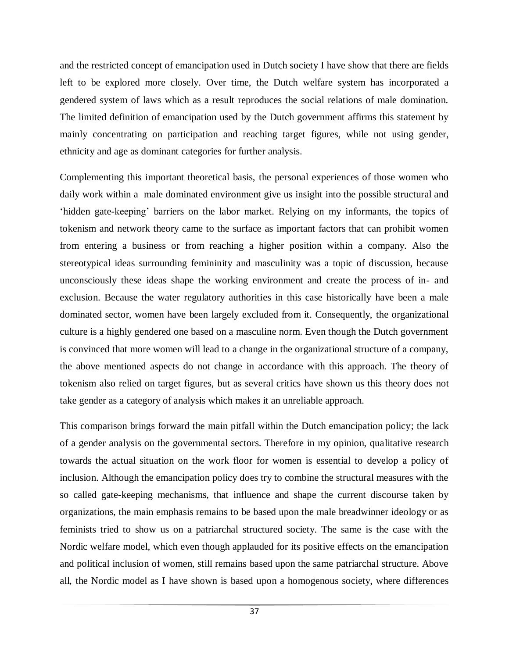and the restricted concept of emancipation used in Dutch society I have show that there are fields left to be explored more closely. Over time, the Dutch welfare system has incorporated a gendered system of laws which as a result reproduces the social relations of male domination. The limited definition of emancipation used by the Dutch government affirms this statement by mainly concentrating on participation and reaching target figures, while not using gender, ethnicity and age as dominant categories for further analysis.

Complementing this important theoretical basis, the personal experiences of those women who daily work within a male dominated environment give us insight into the possible structural and "hidden gate-keeping" barriers on the labor market. Relying on my informants, the topics of tokenism and network theory came to the surface as important factors that can prohibit women from entering a business or from reaching a higher position within a company. Also the stereotypical ideas surrounding femininity and masculinity was a topic of discussion, because unconsciously these ideas shape the working environment and create the process of in- and exclusion. Because the water regulatory authorities in this case historically have been a male dominated sector, women have been largely excluded from it. Consequently, the organizational culture is a highly gendered one based on a masculine norm. Even though the Dutch government is convinced that more women will lead to a change in the organizational structure of a company, the above mentioned aspects do not change in accordance with this approach. The theory of tokenism also relied on target figures, but as several critics have shown us this theory does not take gender as a category of analysis which makes it an unreliable approach.

This comparison brings forward the main pitfall within the Dutch emancipation policy; the lack of a gender analysis on the governmental sectors. Therefore in my opinion, qualitative research towards the actual situation on the work floor for women is essential to develop a policy of inclusion. Although the emancipation policy does try to combine the structural measures with the so called gate-keeping mechanisms, that influence and shape the current discourse taken by organizations, the main emphasis remains to be based upon the male breadwinner ideology or as feminists tried to show us on a patriarchal structured society. The same is the case with the Nordic welfare model, which even though applauded for its positive effects on the emancipation and political inclusion of women, still remains based upon the same patriarchal structure. Above all, the Nordic model as I have shown is based upon a homogenous society, where differences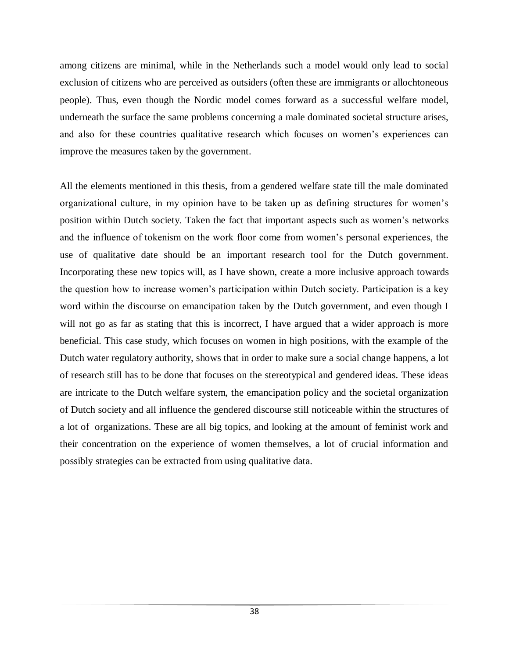among citizens are minimal, while in the Netherlands such a model would only lead to social exclusion of citizens who are perceived as outsiders (often these are immigrants or allochtoneous people). Thus, even though the Nordic model comes forward as a successful welfare model, underneath the surface the same problems concerning a male dominated societal structure arises, and also for these countries qualitative research which focuses on women"s experiences can improve the measures taken by the government.

All the elements mentioned in this thesis, from a gendered welfare state till the male dominated organizational culture, in my opinion have to be taken up as defining structures for women"s position within Dutch society. Taken the fact that important aspects such as women"s networks and the influence of tokenism on the work floor come from women"s personal experiences, the use of qualitative date should be an important research tool for the Dutch government. Incorporating these new topics will, as I have shown, create a more inclusive approach towards the question how to increase women"s participation within Dutch society. Participation is a key word within the discourse on emancipation taken by the Dutch government, and even though I will not go as far as stating that this is incorrect, I have argued that a wider approach is more beneficial. This case study, which focuses on women in high positions, with the example of the Dutch water regulatory authority, shows that in order to make sure a social change happens, a lot of research still has to be done that focuses on the stereotypical and gendered ideas. These ideas are intricate to the Dutch welfare system, the emancipation policy and the societal organization of Dutch society and all influence the gendered discourse still noticeable within the structures of a lot of organizations. These are all big topics, and looking at the amount of feminist work and their concentration on the experience of women themselves, a lot of crucial information and possibly strategies can be extracted from using qualitative data.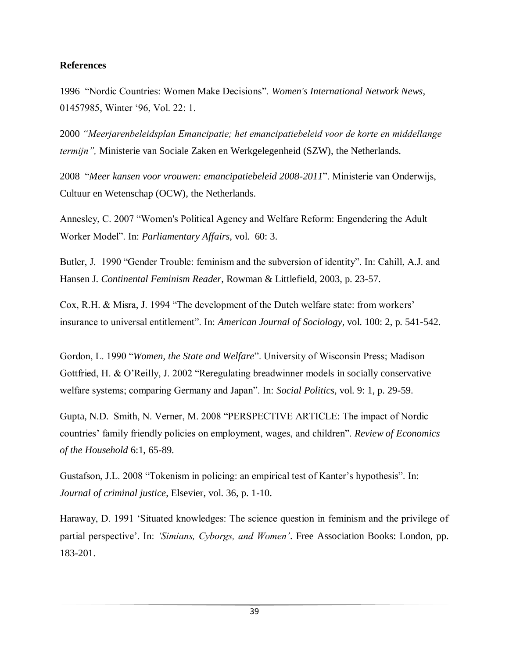# **References**

1996 "Nordic Countries: Women Make Decisions". *Women's International Network News*, 01457985, Winter "96, Vol. 22: 1.

2000 *"Meerjarenbeleidsplan Emancipatie; het emancipatiebeleid voor de korte en middellange termijn",* Ministerie van Sociale Zaken en Werkgelegenheid (SZW), the Netherlands.

2008 "*Meer kansen voor vrouwen: emancipatiebeleid 2008-2011*". Ministerie van Onderwijs, Cultuur en Wetenschap (OCW), the Netherlands.

Annesley, C. 2007 "Women's Political Agency and Welfare Reform: Engendering the Adult Worker Model". In: *Parliamentary Affairs*, vol. 60: 3.

Butler, J. 1990 "Gender Trouble: feminism and the subversion of identity". In: Cahill, A.J. and Hansen J. *Continental Feminism Reader*, Rowman & Littlefield, 2003, p. 23-57.

Cox, R.H. & Misra, J. 1994 "The development of the Dutch welfare state: from workers" insurance to universal entitlement". In: *American Journal of Sociology*, vol. 100: 2, p. 541-542.

Gordon, L. 1990 "*Women, the State and Welfare*". University of Wisconsin Press; Madison Gottfried, H. & O"Reilly, J. 2002 "Reregulating breadwinner models in socially conservative welfare systems; comparing Germany and Japan". In: *Social Politics*, vol. 9: 1, p. 29-59.

Gupta, N.D. Smith, N. Verner, M. 2008 "PERSPECTIVE ARTICLE: The impact of Nordic countries" family friendly policies on employment, wages, and children". *Review of Economics of the Household* 6:1, 65-89.

Gustafson, J.L. 2008 "Tokenism in policing: an empirical test of Kanter's hypothesis". In: *Journal of criminal justice*, Elsevier, vol. 36, p. 1-10.

Haraway, D. 1991 "Situated knowledges: The science question in feminism and the privilege of partial perspective'. In: 'Simians, Cyborgs, and Women'. Free Association Books: London, pp. 183-201.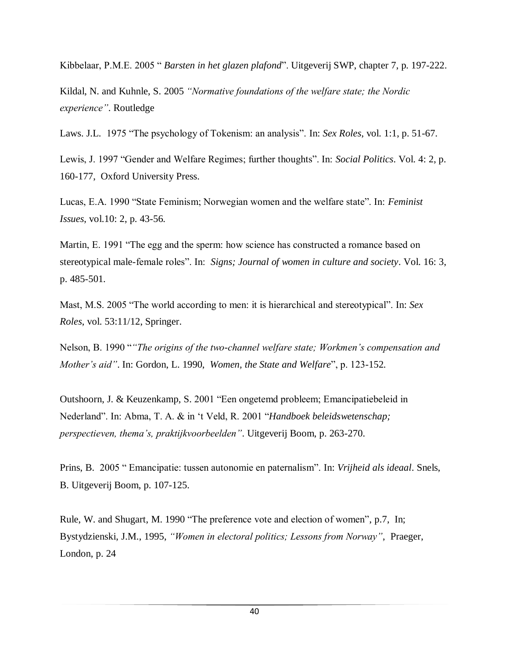Kibbelaar, P.M.E. 2005 " *Barsten in het glazen plafond*". Uitgeverij SWP, chapter 7, p. 197-222.

Kildal, N. and Kuhnle, S. 2005 *"Normative foundations of the welfare state; the Nordic experience"*. Routledge

Laws. J.L. 1975 "The psychology of Tokenism: an analysis". In: *Sex Roles*, vol. 1:1, p. 51-67.

Lewis, J. 1997 "Gender and Welfare Regimes; further thoughts". In: *Social Politics*. Vol. 4: 2, p. 160-177, Oxford University Press.

Lucas, E.A. 1990 "State Feminism; Norwegian women and the welfare state". In: *Feminist Issues*, vol.10: 2, p. 43-56.

Martin, E. 1991 "The egg and the sperm: how science has constructed a romance based on stereotypical male-female roles". In: *Signs; Journal of women in culture and society*. Vol. 16: 3, p. 485-501.

Mast, M.S. 2005 "The world according to men: it is hierarchical and stereotypical". In: *Sex Roles*, vol. 53:11/12, Springer.

Nelson, B. 1990 "*"The origins of the two-channel welfare state; Workmen"s compensation and Mother"s aid"*. In: Gordon, L. 1990, *Women, the State and Welfare*", p. 123-152.

Outshoorn, J. & Keuzenkamp, S. 2001 "Een ongetemd probleem; Emancipatiebeleid in Nederland". In: Abma, T. A. & in "t Veld, R. 2001 "*Handboek beleidswetenschap; perspectieven, thema"s, praktijkvoorbeelden"*. Uitgeverij Boom, p. 263-270.

Prins, B. 2005 " Emancipatie: tussen autonomie en paternalism". In: *Vrijheid als ideaal*. Snels, B. Uitgeverij Boom, p. 107-125.

Rule, W. and Shugart, M. 1990 "The preference vote and election of women", p.7, In; Bystydzienski, J.M., 1995, *"Women in electoral politics; Lessons from Norway"*, Praeger, London, p. 24